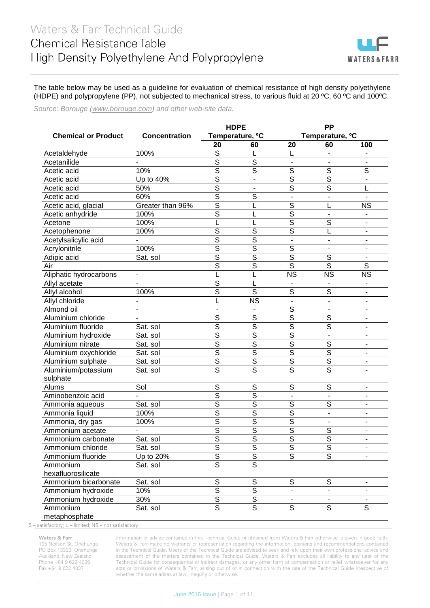## Waters & Farr Technical Guide Chemical Resistance Table High Density Polyethylene And Polypropylene



The table below may be used as a guideline for evaluation of chemical resistance of high density polyethylene (HDPE) and polypropylene (PP), not subjected to mechanical stress, to various fluid at 20 ºC, 60 ºC and 100ºC.

*Source: Borouge [\(www.borouge.com\)](http://www.borouge.com/) and other web-site data.*

|                            |                          |                          | <b>HDPE</b>                 | <b>PP</b>                   |                          |                          |
|----------------------------|--------------------------|--------------------------|-----------------------------|-----------------------------|--------------------------|--------------------------|
| <b>Chemical or Product</b> | <b>Concentration</b>     |                          | Temperature, <sup>o</sup> C | Temperature, <sup>o</sup> C |                          |                          |
|                            |                          | 20                       | 60                          | 20                          | 60                       | 100                      |
| Acetaldehyde               | 100%                     | S                        | L                           | L                           |                          |                          |
| Acetanilide                |                          | $\overline{\mathcal{S}}$ | S                           |                             |                          |                          |
| Acetic acid                | 10%                      | $\overline{\mathcal{S}}$ | S                           | S                           | S                        | S                        |
| Acetic acid                | Up to 40%                | $\overline{\mathcal{S}}$ | $\blacksquare$              | $\overline{\mathcal{S}}$    | $\overline{s}$           | $\blacksquare$           |
| Acetic acid                | 50%                      | $\overline{\mathsf{s}}$  |                             | S                           | S                        |                          |
| Acetic acid                | 60%                      | $\overline{\mathsf{s}}$  | S                           |                             |                          |                          |
| Acetic acid, glacial       | Greater than 96%         | $\overline{\mathcal{S}}$ |                             | S                           |                          | <b>NS</b>                |
| Acetic anhydride           | 100%                     | S                        |                             | $\overline{\mathcal{S}}$    |                          |                          |
| Acetone                    | 100%                     |                          |                             | $\overline{S}$              | S                        |                          |
| Acetophenone               | 100%                     | S                        | S                           | $\overline{s}$              |                          |                          |
| Acetylsalicylic acid       |                          | $\overline{\mathcal{S}}$ | S                           | $\blacksquare$              |                          | $\blacksquare$           |
| Acrylonitrile              | 100%                     | $\overline{\mathcal{S}}$ | $\overline{\mathcal{S}}$    | $\mathsf S$                 |                          |                          |
| Adipic acid                | Sat. sol                 | $\overline{S}$           | $\overline{\mathcal{S}}$    | $\overline{S}$              | S                        |                          |
| Air                        |                          | S                        | S                           | $\overline{s}$              | S                        | S                        |
| Aliphatic hydrocarbons     | $\overline{\phantom{a}}$ |                          |                             | <b>NS</b>                   | <b>NS</b>                | <b>NS</b>                |
| Allyl acetate              |                          | S                        |                             |                             |                          |                          |
| Allyl alcohol              | 100%                     | S                        | S                           | S                           | S                        |                          |
| Allyl chloride             |                          |                          | <b>NS</b>                   |                             |                          |                          |
| Almond oil                 |                          |                          |                             | $\mathsf S$                 |                          | $\overline{\phantom{a}}$ |
| Aluminium chloride         |                          | S                        | S                           | $\overline{S}$              | S                        | $\overline{\phantom{a}}$ |
| Aluminium fluoride         | Sat. sol                 | S                        | $\overline{\mathcal{S}}$    | $\overline{S}$              | S                        |                          |
| Aluminium hydroxide        | Sat. sol                 | $\overline{\mathcal{S}}$ | $\overline{\mathcal{S}}$    | $\overline{S}$              |                          | $\blacksquare$           |
| Aluminium nitrate          | Sat. sol                 | $\overline{\mathcal{S}}$ | $\overline{\mathcal{S}}$    | $\overline{S}$              | S                        | $\blacksquare$           |
| Aluminium oxychloride      | Sat. sol                 | $\overline{\mathsf{s}}$  | $\overline{s}$              | $\overline{s}$              | $\overline{\mathsf{s}}$  | $\overline{\phantom{a}}$ |
| Aluminium sulphate         | Sat. sol                 | $\overline{S}$           | $\overline{S}$              | $\overline{S}$              | $\overline{S}$           | $\blacksquare$           |
| Aluminium/potassium        | Sat. sol                 | $\overline{s}$           | $\overline{s}$              | $\overline{s}$              | $\overline{\mathsf{s}}$  |                          |
| sulphate                   |                          |                          |                             |                             |                          |                          |
| Alums                      | Sol                      | S                        | S                           | $\overline{s}$              | $\overline{s}$           | $\overline{\phantom{a}}$ |
| Aminobenzoic acid          |                          | $\overline{\mathsf{s}}$  | $\overline{\mathsf{s}}$     | $\blacksquare$              | $\blacksquare$           | $\blacksquare$           |
| Ammonia aqueous            | Sat. sol                 | $\overline{\mathsf{s}}$  | $\overline{\mathsf{s}}$     | $\overline{\mathsf{s}}$     | $\overline{\mathsf{s}}$  | $\overline{\phantom{a}}$ |
| Ammonia liquid             | 100%                     | S                        | $\overline{\mathsf{s}}$     | $\overline{\mathsf{s}}$     | $\overline{\phantom{a}}$ | $\blacksquare$           |
| Ammonia, dry gas           | 100%                     | $\overline{\mathsf{s}}$  | $\overline{\mathsf{s}}$     | $\overline{\mathsf{s}}$     |                          | $\blacksquare$           |
| Ammonium acetate           |                          | $\overline{\mathsf{s}}$  | $\overline{\mathsf{s}}$     | $\overline{\mathsf{s}}$     | $\overline{S}$           | $\blacksquare$           |
| Ammonium carbonate         | Sat. sol                 | $\overline{\mathsf{s}}$  | $\overline{\mathsf{s}}$     | $\overline{\mathsf{s}}$     | $\overline{\mathsf{s}}$  | $\overline{\phantom{a}}$ |
| Ammonium chloride          | Sat. sol                 | S                        | $\overline{S}$              | $\overline{S}$              | $\mathsf S$              |                          |
| Ammonium fluoride          | Up to 20%                | $\overline{\mathsf{s}}$  | $\overline{\mathsf{s}}$     | $\overline{\mathsf{s}}$     | $\overline{s}$           |                          |
| Ammonium                   | Sat. sol                 | $\overline{\mathsf{s}}$  | $\overline{\mathsf{s}}$     |                             |                          |                          |
| hexafluorosilicate         |                          |                          |                             |                             |                          |                          |
| Ammonium bicarbonate       | Sat. sol                 | ${\mathbb S}$            | $\mathsf S$                 | $\mathsf S$                 | S                        | $\blacksquare$           |
| Ammonium hydroxide         | 10%                      | $\overline{\mathsf{s}}$  | $\overline{\mathsf{s}}$     | $\blacksquare$              | $\blacksquare$           | $\blacksquare$           |
| Ammonium hydroxide         | 30%                      | $\overline{\mathsf{s}}$  | $\overline{\mathsf{s}}$     |                             |                          |                          |
| Ammonium                   | Sat. sol                 | $\overline{\mathsf{s}}$  | $\overline{\mathsf{s}}$     | $\overline{s}$              | $\overline{s}$           | $\overline{s}$           |
| metaphosphate              |                          |                          |                             |                             |                          |                          |

S – satisfactory; L – limited; NS – not satisfactory

## **Waters & Farr**

105 Neilson St, Onehunga PO Box 13329, Onehunga Auckland, New Zealand Phone +64 9 622 4036 Fax +64 9 622 4037

Information or advice contained in this Technical Guide or obtained from Waters & Farr otherwise is given in good faith. Waters & Farr make no warranty or representation regarding the information, opinions and recommendations contained in the Technical Guide. Users of the Technical Guide are advised to seek and rely upon their own professional advice and assessment of the matters contained in the Technical Guide. Waters & Farr excludes all liability to any user of the Technical Guide for consequential or indirect damages, or any other form of compensation or relief whatsoever for any acts or omissions of Waters & Farr, arising out of or in connection with the use of the Technical Guide irrespective of whether the same arises at law, inequity or otherwise.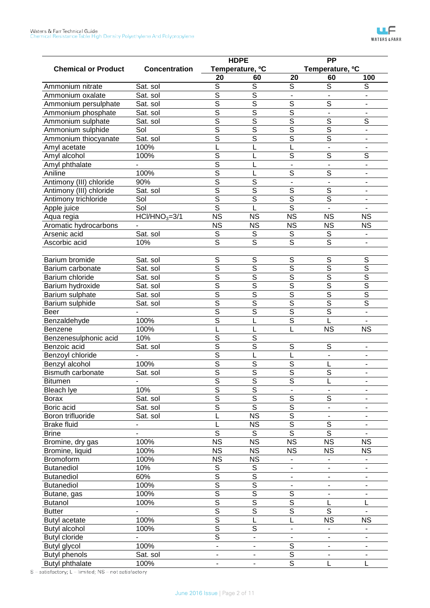|                            |                      |                          | <b>HDPE</b>                 |                                           | <b>PP</b>                   |                         |
|----------------------------|----------------------|--------------------------|-----------------------------|-------------------------------------------|-----------------------------|-------------------------|
| <b>Chemical or Product</b> | <b>Concentration</b> |                          | Temperature, <sup>o</sup> C |                                           | Temperature, <sup>o</sup> C |                         |
|                            |                      | 20                       | 60                          | 20                                        | 60                          | 100                     |
| Ammonium nitrate           | Sat. sol             | $\overline{s}$           | $\overline{s}$              | $\overline{s}$                            | $\overline{s}$              | S                       |
| Ammonium oxalate           | Sat. sol             | $\overline{\mathsf{s}}$  | $\overline{s}$              |                                           |                             |                         |
| Ammonium persulphate       | Sat. sol             | $\overline{s}$           | $\overline{s}$              | $\overline{\mathsf{s}}$                   | $\overline{s}$              |                         |
| Ammonium phosphate         | Sat. sol             | $\overline{\mathsf{s}}$  | $\overline{\mathsf{s}}$     | $\overline{\mathsf{s}}$                   | $\blacksquare$              |                         |
| Ammonium sulphate          | Sat. sol             | $\overline{\mathsf{s}}$  | $\overline{\mathsf{s}}$     | $\overline{\mathsf{s}}$                   | $\overline{s}$              | $\overline{s}$          |
| Ammonium sulphide          | Sol                  | $\overline{\mathsf{s}}$  | $\overline{\mathsf{s}}$     | $\overline{\mathsf{s}}$                   | $\overline{s}$              |                         |
| Ammonium thiocyanate       | Sat. sol             | $\overline{\mathsf{s}}$  | $\overline{\mathsf{s}}$     | $\overline{\mathsf{s}}$                   | $\overline{\mathsf{s}}$     |                         |
| Amyl acetate               | 100%                 |                          | L                           | L                                         | $\blacksquare$              |                         |
| Amyl alcohol               | 100%                 | $\overline{s}$           | L                           | S                                         | $\overline{s}$              | $\overline{s}$          |
| Amyl phthalate             |                      | $\overline{\mathsf{s}}$  | L                           |                                           |                             |                         |
| Aniline                    | 100%                 | $\overline{s}$           | L                           | S                                         | $\overline{s}$              |                         |
| Antimony (III) chloride    | 90%                  | $\overline{\mathsf{s}}$  | $\overline{\mathsf{s}}$     |                                           |                             |                         |
| Antimony (III) chloride    | Sat. sol             | $\overline{\mathsf{s}}$  | $\overline{\mathsf{s}}$     | $\overline{\mathsf{s}}$                   | $\overline{s}$              |                         |
| Antimony trichloride       | Sol                  | $\overline{\mathsf{s}}$  | $\overline{s}$              | $\overline{\mathsf{s}}$                   | $\overline{s}$              |                         |
| Apple juice                | Sol                  | $\overline{\mathsf{s}}$  | L                           | $\overline{\mathsf{s}}$                   |                             |                         |
| Aqua regia                 | $HCI/HNO3=3/1$       | $\overline{\text{NS}}$   | <b>NS</b>                   | $\overline{\text{NS}}$                    | <b>NS</b>                   | <b>NS</b>               |
| Aromatic hydrocarbons      |                      | <b>NS</b>                | <b>NS</b>                   | <b>NS</b>                                 | <b>NS</b>                   | <b>NS</b>               |
| Arsenic acid               | Sat. sol             | S                        | S                           | $\mathsf S$                               | $\mathbb S$                 |                         |
| Ascorbic acid              | 10%                  | $\overline{s}$           | $\overline{s}$              | S                                         | $\overline{s}$              |                         |
|                            |                      |                          |                             |                                           |                             |                         |
| Barium bromide             | Sat. sol             | $\overline{s}$           | $\overline{s}$              | $\overline{s}$                            | $\overline{s}$              | $\overline{S}$          |
| Barium carbonate           | Sat. sol             | $\overline{s}$           | $\overline{\mathsf{s}}$     | $\overline{s}$                            | $\overline{s}$              | $\overline{s}$          |
| Barium chloride            | Sat. sol             | $\overline{\mathsf{s}}$  | $\overline{\mathsf{s}}$     | $\overline{\mathsf{s}}$                   | $\overline{s}$              | $\overline{\mathsf{s}}$ |
| Barium hydroxide           | Sat. sol             | $\overline{\mathsf{s}}$  | $\overline{\mathsf{s}}$     | $\overline{\mathsf{s}}$                   | $\overline{\mathsf{s}}$     | $\overline{\mathsf{s}}$ |
| Barium sulphate            | Sat. sol             | $\overline{\mathsf{s}}$  | $\overline{\mathsf{s}}$     | $\overline{\mathsf{s}}$                   | $\overline{s}$              | $\overline{\mathsf{s}}$ |
|                            |                      | $\overline{\mathsf{s}}$  | $\overline{\mathsf{s}}$     | $\overline{\mathsf{s}}$                   | $\overline{s}$              | $\overline{\mathsf{s}}$ |
| Barium sulphide            | Sat. sol             | $\overline{s}$           | $\overline{\mathsf{s}}$     | $\overline{\mathsf{s}}$                   | $\overline{s}$              |                         |
| Beer<br>Benzaldehyde       | 100%                 | $\overline{\mathsf{s}}$  | L                           | $\overline{s}$                            | L                           |                         |
| Benzene                    | 100%                 |                          | L                           | L                                         | <b>NS</b>                   | <b>NS</b>               |
| Benzenesulphonic acid      | 10%                  | $\overline{s}$           | $\overline{\mathsf{s}}$     |                                           |                             |                         |
| Benzoic acid               | Sat. sol             | $\overline{\mathsf{s}}$  | $\overline{\mathsf{s}}$     | $\overline{\mathsf{s}}$                   | S                           | ٠                       |
| Benzoyl chloride           |                      | $\overline{\mathsf{s}}$  | L                           | L                                         | $\blacksquare$              |                         |
| Benzyl alcohol             | 100%                 | $\overline{\mathsf{s}}$  | $\overline{\mathsf{s}}$     | $\overline{\mathsf{s}}$                   |                             |                         |
| Bismuth carbonate          | Sat. sol             | $\overline{\mathsf{s}}$  | $\overline{\mathsf{s}}$     | $\overline{\mathsf{s}}$                   | L<br>$\overline{s}$         |                         |
|                            |                      | $\overline{\mathsf{s}}$  | $\overline{\mathsf{s}}$     | $\overline{\mathsf{s}}$                   |                             |                         |
| Bitumen                    |                      | $\overline{\mathsf{s}}$  | $\overline{\mathsf{s}}$     |                                           | L                           |                         |
| <b>Bleach lye</b>          | 10%                  | $\overline{\mathsf{s}}$  | $\overline{\mathsf{s}}$     | $\overline{s}$                            | $\overline{s}$              |                         |
| Borax                      | Sat. sol             |                          | $\overline{s}$              | $\overline{\mathsf{s}}$                   |                             |                         |
| Boric acid                 | Sat. sol             | $\overline{s}$           | $\overline{\text{NS}}$      | $\overline{\mathsf{s}}$                   |                             |                         |
| Boron trifluoride          | Sat. sol             |                          |                             | $\overline{\mathsf{s}}$                   | $\overline{s}$              |                         |
| <b>Brake fluid</b>         |                      | $\overline{s}$           | <b>NS</b><br>S              | $\overline{s}$                            | $\overline{s}$              |                         |
| <b>Brine</b>               |                      | $\overline{\text{NS}}$   | $\overline{\text{NS}}$      | $\overline{\text{NS}}$                    | $\overline{\text{NS}}$      | $\overline{\text{NS}}$  |
| Bromine, dry gas           | 100%                 | <b>NS</b>                | <b>NS</b>                   |                                           |                             |                         |
| Bromine, liquid            | 100%                 | <b>NS</b>                |                             | <b>NS</b>                                 | <b>NS</b>                   | <b>NS</b>               |
| Bromoform                  | 100%                 | S                        | <b>NS</b><br>S              |                                           |                             |                         |
| <b>Butanediol</b>          | 10%<br>60%           | $\overline{\mathsf{s}}$  | $\overline{\mathsf{s}}$     |                                           |                             |                         |
| <b>Butanediol</b>          |                      | $\overline{\mathsf{s}}$  | $\overline{\mathsf{s}}$     | ۰                                         |                             |                         |
| <b>Butanediol</b>          | 100%                 | $\overline{\mathsf{s}}$  | $\overline{\mathsf{s}}$     |                                           |                             |                         |
| Butane, gas                | 100%                 | $\overline{\mathsf{s}}$  | $\overline{\mathsf{s}}$     | $\overline{s}$<br>$\overline{\mathsf{s}}$ |                             |                         |
| <b>Butanol</b>             | 100%                 | $\overline{\mathsf{s}}$  | $\overline{\mathsf{s}}$     | $\overline{\mathsf{s}}$                   | L<br>$\overline{s}$         | L                       |
| <b>Butter</b>              |                      |                          |                             |                                           |                             |                         |
| Butyl acetate              | 100%                 | $\overline{\mathsf{s}}$  | L                           | L                                         | <b>NS</b>                   | <b>NS</b>               |
| Butyl alcohol              | 100%                 | $\overline{\mathsf{s}}$  | $\overline{s}$              | $\qquad \qquad \blacksquare$              |                             |                         |
| <b>Butyl cloride</b>       |                      | $\overline{\mathsf{s}}$  | $\overline{\phantom{a}}$    |                                           |                             |                         |
| Butyl glycol               | 100%                 | $\blacksquare$           | ۰                           | $\overline{s}$                            | $\blacksquare$              | $\blacksquare$          |
| <b>Butyl phenols</b>       | Sat. sol             | $\overline{\phantom{a}}$ |                             | $\overline{\mathsf{s}}$                   | $\overline{\phantom{a}}$    |                         |
| <b>Butyl phthalate</b>     | 100%                 |                          |                             | $\overline{s}$                            |                             |                         |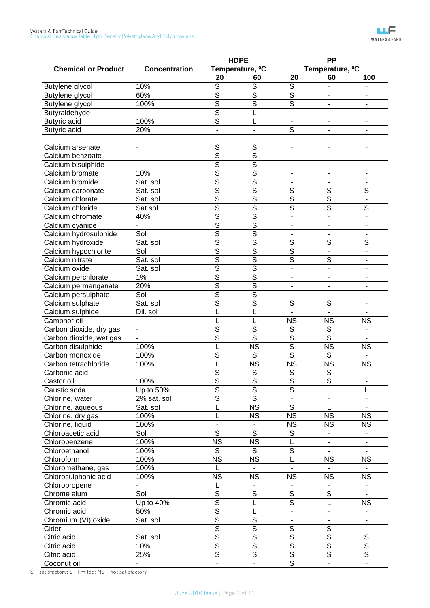|                            |                      |                          | <b>HDPE</b>                 |                          | <b>PP</b>                   |                          |
|----------------------------|----------------------|--------------------------|-----------------------------|--------------------------|-----------------------------|--------------------------|
| <b>Chemical or Product</b> | <b>Concentration</b> |                          | Temperature, <sup>o</sup> C |                          | Temperature, <sup>o</sup> C |                          |
|                            |                      | 20                       | 60                          | 20                       | 60                          | 100                      |
| Butylene glycol            | 10%                  | S                        | $\overline{s}$              | S                        |                             |                          |
| Butylene glycol            | 60%                  | $\overline{\mathsf{s}}$  | $\overline{\mathsf{s}}$     | $\overline{\mathsf{s}}$  |                             |                          |
| Butylene glycol            | 100%                 | S                        | $\overline{\mathsf{s}}$     | $\overline{\mathsf{s}}$  |                             |                          |
| Butyraldehyde              |                      | S                        |                             |                          |                             |                          |
| Butyric acid               | 100%                 | $\overline{\mathsf{s}}$  | L                           |                          |                             |                          |
| <b>Butyric acid</b>        | 20%                  |                          | $\blacksquare$              | S                        |                             |                          |
|                            |                      |                          |                             |                          |                             |                          |
| Calcium arsenate           |                      | S                        | S                           | $\blacksquare$           |                             |                          |
| Calcium benzoate           |                      | $\overline{\mathsf{s}}$  | $\overline{\mathsf{s}}$     |                          |                             |                          |
| Calcium bisulphide         |                      | $\overline{\mathsf{s}}$  | $\overline{\mathsf{s}}$     |                          |                             |                          |
| Calcium bromate            | 10%                  | $\overline{\mathsf{s}}$  | $\overline{\mathsf{s}}$     |                          |                             |                          |
| Calcium bromide            | Sat. sol             | S                        | $\overline{\mathsf{s}}$     |                          |                             |                          |
| Calcium carbonate          | Sat. sol             | $\overline{\mathsf{s}}$  | $\overline{\mathsf{s}}$     | S                        | S                           | S                        |
| Calcium chlorate           | Sat. sol             | S                        | $\overline{\mathsf{s}}$     | $\overline{\mathsf{s}}$  | $\overline{\mathsf{s}}$     | $\overline{\phantom{a}}$ |
| Calcium chloride           | Sat.sol              | S                        | $\overline{\mathsf{s}}$     | $\overline{\mathsf{s}}$  | S                           | $\overline{\mathsf{s}}$  |
| Calcium chromate           | 40%                  | $\overline{\mathsf{s}}$  | $\overline{\mathsf{s}}$     | ä,                       |                             | $\overline{a}$           |
| Calcium cyanide            |                      | $\overline{\mathsf{s}}$  | $\overline{\mathsf{s}}$     |                          |                             |                          |
| Calcium hydrosulphide      | Sol                  | $\overline{\mathsf{s}}$  | $\overline{\mathsf{s}}$     | $\overline{\phantom{a}}$ |                             | $\overline{\phantom{a}}$ |
| Calcium hydroxide          | Sat. sol             | S                        | $\overline{\mathsf{s}}$     | $\overline{\mathsf{s}}$  | S                           | $\overline{\mathsf{s}}$  |
| Calcium hypochlorite       | Sol                  | $\overline{\mathsf{s}}$  | $\overline{\mathsf{s}}$     | $\overline{\mathsf{s}}$  | $\blacksquare$              | L.                       |
| Calcium nitrate            | Sat. sol             | S                        | $\overline{\mathsf{s}}$     | $\overline{\mathsf{s}}$  | S                           |                          |
| Calcium oxide              | Sat. sol             | S                        | $\overline{\mathsf{s}}$     |                          |                             |                          |
| Calcium perchlorate        | 1%                   | $\overline{\mathsf{s}}$  | $\overline{\mathsf{s}}$     |                          |                             |                          |
| Calcium permanganate       | 20%                  | S                        | $\overline{\mathsf{s}}$     |                          |                             |                          |
| Calcium persulphate        | Sol                  | $\overline{\mathsf{s}}$  | $\overline{\mathsf{s}}$     |                          |                             |                          |
| Calcium sulphate           | Sat. sol             | $\overline{\mathsf{s}}$  | $\overline{\mathsf{s}}$     | S                        | S                           |                          |
| Calcium sulphide           | Dil. sol             |                          |                             |                          |                             |                          |
| Camphor oil                |                      |                          |                             | <b>NS</b>                | <b>NS</b>                   | <b>NS</b>                |
| Carbon dioxide, dry gas    |                      | $\overline{\mathsf{s}}$  | $\overline{\mathsf{s}}$     | S                        | S                           |                          |
| Carbon dioxide, wet gas    |                      | $\overline{\mathsf{s}}$  | $\overline{\mathsf{s}}$     | $\overline{\mathsf{s}}$  | $\overline{\mathsf{s}}$     |                          |
| Carbon disulphide          | 100%                 |                          | $\overline{\text{NS}}$      | $\overline{\mathsf{s}}$  | $\overline{\text{NS}}$      | <b>NS</b>                |
| Carbon monoxide            | 100%                 | $\overline{\mathsf{s}}$  | S                           | $\overline{\mathsf{s}}$  | S                           |                          |
| Carbon tetrachloride       | 100%                 |                          | $\overline{\text{NS}}$      | $\overline{\text{NS}}$   | $\overline{\text{NS}}$      | <b>NS</b>                |
| Carbonic acid              |                      | S                        | S                           | $\overline{S}$           | S                           |                          |
| Castor oil                 | 100%                 | $\overline{\mathsf{s}}$  | $\overline{\mathsf{s}}$     | $\overline{\mathsf{s}}$  | $\overline{\mathsf{s}}$     |                          |
| Caustic soda               | Up to 50%            | $\overline{\mathsf{s}}$  | $\overline{\mathsf{s}}$     | $\overline{s}$           |                             | L                        |
| Chlorine, water            | 2% sat. sol          | $\overline{\mathsf{s}}$  | $\overline{\mathsf{s}}$     | $\overline{\phantom{0}}$ | $\blacksquare$              | $\blacksquare$           |
| Chlorine, aqueous          | Sat. sol             |                          | $\overline{\text{NS}}$      | $\overline{s}$           |                             |                          |
| Chlorine, dry gas          | 100%                 |                          | <b>NS</b>                   | <b>NS</b>                | <b>NS</b>                   | <b>NS</b>                |
| Chlorine, liquid           | 100%                 | $\blacksquare$           |                             | <b>NS</b>                | <b>NS</b>                   | <b>NS</b>                |
| Chloroacetic acid          | Sol                  | $\overline{s}$           | $\overline{\mathsf{s}}$     | $\mathbb S$              |                             | ۰                        |
| Chlorobenzene              | 100%                 | $\overline{\text{NS}}$   | $\overline{\text{NS}}$      | L                        |                             | $\overline{\phantom{0}}$ |
| Chloroethanol              | 100%                 | S                        | S                           | $\overline{s}$           |                             |                          |
| Chloroform                 | 100%                 | $\overline{\text{NS}}$   | $\overline{\text{NS}}$      | L                        | <b>NS</b>                   | $\overline{\text{NS}}$   |
| Chloromethane, gas         | 100%                 |                          |                             |                          |                             |                          |
| Chlorosulphonic acid       | 100%                 | <b>NS</b>                | <b>NS</b>                   | <b>NS</b>                | <b>NS</b>                   | <b>NS</b>                |
| Chloropropene              |                      |                          |                             |                          |                             | $\overline{\phantom{0}}$ |
| Chrome alum                | Sol                  | $\overline{\mathsf{s}}$  | $\overline{S}$              | $\overline{s}$           | $\overline{s}$              |                          |
| Chromic acid               | Up to 40%            | $\overline{\mathsf{s}}$  | L                           | $\overline{\mathsf{s}}$  | L                           | <b>NS</b>                |
| Chromic acid               | 50%                  | $\overline{\mathsf{s}}$  | L                           | ÷,                       | $\overline{\phantom{a}}$    | $\overline{\phantom{a}}$ |
| Chromium (VI) oxide        | Sat. sol             | $\overline{\mathsf{s}}$  | $\overline{S}$              | $\overline{\phantom{m}}$ | $\overline{\phantom{a}}$    | $\overline{\phantom{m}}$ |
| Cider                      |                      | $\overline{\mathsf{s}}$  | $\overline{\mathsf{s}}$     | $\overline{S}$           | $\overline{\mathcal{S}}$    | $\overline{\phantom{0}}$ |
| Citric acid                | Sat. sol             | $\overline{\mathsf{s}}$  | $\overline{\mathsf{s}}$     | $\overline{\mathsf{s}}$  | $\overline{\mathsf{s}}$     | $\overline{\mathsf{s}}$  |
| Citric acid                | 10%                  | $\overline{\mathsf{s}}$  | $\overline{\mathsf{s}}$     | $\overline{\mathsf{s}}$  | $\overline{\mathsf{s}}$     | $\overline{\mathsf{s}}$  |
| Citric acid                | 25%                  | $\overline{\mathsf{s}}$  | $\overline{\mathsf{s}}$     | $\overline{\mathsf{s}}$  | $\overline{\mathsf{s}}$     | $\overline{\mathsf{s}}$  |
| Coconut oil                |                      | $\overline{\phantom{a}}$ | ÷,                          | $\overline{\mathsf{s}}$  | ÷,                          | $\overline{\phantom{a}}$ |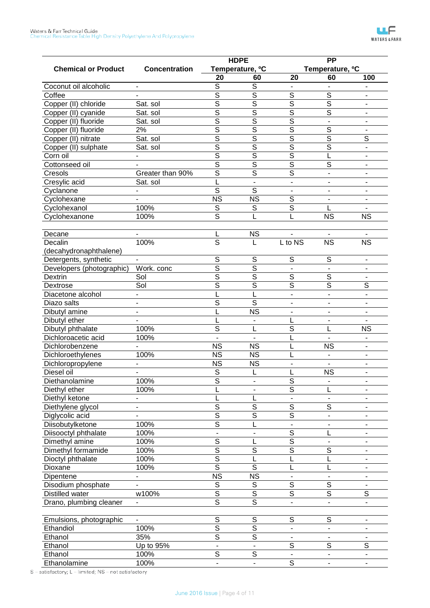|                            |                          | <b>HDPE</b>                               |                                           |                          | <b>PP</b>                   |                          |  |
|----------------------------|--------------------------|-------------------------------------------|-------------------------------------------|--------------------------|-----------------------------|--------------------------|--|
| <b>Chemical or Product</b> | <b>Concentration</b>     |                                           | Temperature, <sup>o</sup> C               |                          | Temperature, <sup>o</sup> C |                          |  |
|                            |                          | 20                                        | 60                                        | 20                       | 60                          | 100                      |  |
| Coconut oil alcoholic      | $\blacksquare$           | S                                         | S                                         |                          |                             |                          |  |
| Coffee                     |                          | $\overline{\mathsf{s}}$                   | $\overline{\mathsf{s}}$                   | $\overline{s}$           | $\overline{s}$              |                          |  |
| Copper (II) chloride       | Sat. sol                 | $\overline{s}$                            | $\overline{s}$                            | $\overline{s}$           | $\overline{s}$              |                          |  |
| Copper (II) cyanide        | Sat. sol                 | $\overline{s}$                            | $\overline{s}$                            | $\overline{s}$           | $\overline{s}$              | $\overline{\phantom{a}}$ |  |
| Copper (II) fluoride       | Sat. sol                 | $\overline{\mathsf{s}}$                   | $\overline{\mathsf{s}}$                   | $\overline{\mathsf{s}}$  | $\overline{\phantom{a}}$    |                          |  |
| Copper (II) fluoride       | 2%                       | $\overline{\mathsf{s}}$                   | $\overline{\mathsf{s}}$                   | $\overline{\mathsf{s}}$  | $\overline{s}$              |                          |  |
| Copper (II) nitrate        | Sat. sol                 | $\overline{s}$                            | $\overline{s}$                            | $\overline{s}$           | $\overline{s}$              | S                        |  |
| Copper (II) sulphate       | Sat. sol                 | $\overline{\mathsf{s}}$                   | $\overline{\mathsf{s}}$                   | $\overline{\mathsf{s}}$  | $\overline{s}$              |                          |  |
| Corn oil                   |                          | $\overline{\mathsf{s}}$                   | $\overline{\mathsf{s}}$                   | $\overline{\mathsf{s}}$  | L                           |                          |  |
| Cottonseed oil             |                          | $\overline{s}$                            | $\overline{s}$                            | $\overline{s}$           | S                           |                          |  |
| Cresols                    | Greater than 90%         | $\overline{s}$                            | $\overline{s}$                            | $\overline{s}$           | $\overline{\phantom{0}}$    |                          |  |
| Cresylic acid              | Sat. sol                 |                                           | ä,                                        | $\blacksquare$           |                             |                          |  |
| Cyclanone                  |                          | $\overline{s}$                            | $\overline{s}$                            |                          |                             |                          |  |
| Cyclohexane                |                          | <b>NS</b>                                 | <b>NS</b>                                 | $\overline{s}$           |                             |                          |  |
| Cyclohexanol               | 100%                     | S                                         | S                                         | $\overline{s}$           | L                           |                          |  |
| Cyclohexanone              | 100%                     | $\overline{s}$                            |                                           |                          | <b>NS</b>                   | <b>NS</b>                |  |
|                            |                          |                                           |                                           |                          |                             |                          |  |
| Decane                     |                          | L                                         | <b>NS</b>                                 |                          |                             |                          |  |
| Decalin                    | 100%                     | $\overline{s}$                            | L                                         | L to NS                  | <b>NS</b>                   | <b>NS</b>                |  |
| (decahydronaphthalene)     |                          |                                           |                                           |                          |                             |                          |  |
| Detergents, synthetic      |                          | $\overline{s}$                            | $\overline{s}$                            | $\overline{s}$           | $\overline{s}$              | $\overline{\phantom{a}}$ |  |
| Developers (photographic)  | Work. conc               | $\overline{\mathsf{s}}$                   | $\overline{\mathsf{s}}$                   |                          |                             |                          |  |
| Dextrin                    | Sol                      | $\overline{\mathsf{s}}$                   | $\overline{\mathsf{s}}$                   | $\overline{s}$           | $\overline{s}$              |                          |  |
| Dextrose                   | Sol                      | $\overline{\mathsf{s}}$                   | $\overline{\mathsf{s}}$                   | $\overline{\mathsf{s}}$  | $\overline{\mathsf{s}}$     | $\overline{s}$           |  |
| Diacetone alcohol          |                          |                                           | L                                         | $\overline{\phantom{a}}$ | $\overline{a}$              |                          |  |
| Diazo salts                | $\blacksquare$           | $\overline{\mathsf{s}}$                   | $\overline{\mathsf{s}}$                   |                          |                             |                          |  |
| Dibutyl amine              | $\overline{\phantom{a}}$ |                                           | $\overline{\text{NS}}$                    |                          |                             |                          |  |
| Dibutyl ether              |                          |                                           |                                           | L                        |                             |                          |  |
| Dibutyl phthalate          | 100%                     | $\overline{s}$                            | L                                         | $\overline{s}$           | L                           | <b>NS</b>                |  |
| Dichloroacetic acid        | 100%                     |                                           |                                           | L                        |                             |                          |  |
| Dichlorobenzene            |                          | <b>NS</b>                                 | <b>NS</b>                                 | L                        | <b>NS</b>                   |                          |  |
| Dichloroethylenes          | 100%                     | $\overline{\text{NS}}$                    | <b>NS</b>                                 | L                        |                             |                          |  |
| Dichloropropylene          |                          | <b>NS</b>                                 | <b>NS</b>                                 |                          |                             |                          |  |
| Diesel oil                 |                          | $\overline{s}$                            | L                                         | L                        | <b>NS</b>                   |                          |  |
| Diethanolamine             | 100%                     | $\overline{\mathsf{s}}$                   |                                           | $\overline{\mathsf{s}}$  |                             |                          |  |
| Diethyl ether              | 100%                     |                                           |                                           | $\overline{s}$           | L                           |                          |  |
| Diethyl ketone             |                          |                                           | L                                         |                          |                             |                          |  |
| Diethylene glycol          | ۰                        | $\overline{\mathsf{s}}$                   | $\overline{\mathsf{s}}$                   | $\overline{\mathsf{s}}$  | $\overline{\mathsf{s}}$     |                          |  |
| Diglycolic acid            |                          | $\overline{\mathsf{s}}$                   | $\overline{\mathsf{s}}$                   | $\overline{\mathsf{s}}$  |                             |                          |  |
| <b>Diisobutylketone</b>    | 100%                     | $\overline{\mathsf{s}}$                   | L                                         |                          |                             |                          |  |
| Diisooctyl phthalate       | 100%                     |                                           |                                           | $\overline{\mathsf{s}}$  | L                           |                          |  |
| Dimethyl amine             | 100%                     | $\overline{\mathsf{s}}$                   | L                                         | $\overline{\mathsf{s}}$  |                             |                          |  |
| Dimethyl formamide         | 100%                     | $\overline{\mathsf{s}}$                   | $\overline{\mathsf{s}}$                   | $\overline{\mathsf{s}}$  | $\overline{\mathsf{s}}$     | ۰                        |  |
| Dioctyl phthalate          | 100%                     | $\overline{\mathsf{s}}$                   | L                                         | L                        | L                           |                          |  |
| Dioxane                    | 100%                     | $\overline{\mathsf{s}}$                   | $\overline{s}$                            | L                        | L                           |                          |  |
|                            |                          | $\overline{\text{NS}}$                    | $\overline{\text{NS}}$                    |                          |                             |                          |  |
| Dipentene                  |                          | $\overline{\mathsf{s}}$                   |                                           | $\overline{\mathsf{s}}$  | $\overline{\mathsf{s}}$     |                          |  |
| Disodium phosphate         |                          |                                           | $\overline{s}$                            |                          |                             |                          |  |
| Distilled water            | w100%                    | $\overline{\mathsf{s}}$                   | $\overline{\mathsf{s}}$                   | $\overline{\mathsf{s}}$  | $\overline{\mathsf{s}}$     | $\overline{\mathsf{s}}$  |  |
| Drano, plumbing cleaner    |                          | $\overline{\mathsf{s}}$                   | $\overline{\mathsf{s}}$                   | $\blacksquare$           | $\overline{\phantom{0}}$    | $\blacksquare$           |  |
|                            |                          |                                           |                                           |                          |                             |                          |  |
| Emulsions, photographic    |                          | $\overline{s}$<br>$\overline{\mathsf{s}}$ | $\overline{s}$<br>$\overline{\mathsf{s}}$ | $\overline{s}$           | $\overline{s}$              |                          |  |
| Ethandiol                  | 100%                     |                                           |                                           |                          |                             |                          |  |
| Ethanol                    | 35%                      | $\overline{\mathsf{s}}$                   | $\overline{\mathsf{s}}$                   |                          |                             |                          |  |
| Ethanol                    | Up to 95%                |                                           |                                           | $\overline{\mathsf{s}}$  | $\overline{\mathsf{s}}$     | $\overline{\mathsf{s}}$  |  |
| Ethanol                    | 100%                     | $\overline{\mathsf{s}}$                   | $\overline{\mathsf{s}}$                   |                          |                             | ۰                        |  |
| Ethanolamine               | 100%                     |                                           |                                           | $\overline{\mathsf{s}}$  | ÷,                          |                          |  |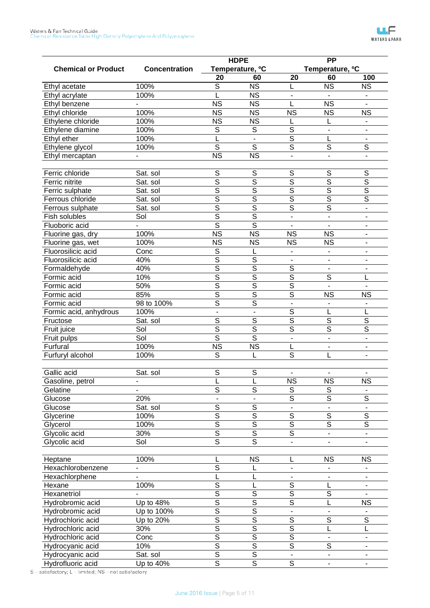|                            |                      |                          | <b>HDPE</b>                 |                              | <b>PP</b>                   |                          |
|----------------------------|----------------------|--------------------------|-----------------------------|------------------------------|-----------------------------|--------------------------|
| <b>Chemical or Product</b> | <b>Concentration</b> |                          | Temperature, <sup>o</sup> C |                              | Temperature, <sup>o</sup> C |                          |
|                            |                      | 20                       | 60                          | 20                           | 60                          | 100                      |
| Ethyl acetate              | 100%                 | S                        | <b>NS</b>                   | L                            | <b>NS</b>                   | <b>NS</b>                |
| Ethyl acrylate             | 100%                 |                          | <b>NS</b>                   |                              |                             |                          |
| Ethyl benzene              |                      | <b>NS</b>                | <b>NS</b>                   | L                            | <b>NS</b>                   |                          |
| Ethyl chloride             | 100%                 | $\overline{\text{NS}}$   | <b>NS</b>                   | <b>NS</b>                    | <b>NS</b>                   | <b>NS</b>                |
| Ethylene chloride          | 100%                 | <b>NS</b>                | <b>NS</b>                   | L                            |                             |                          |
| Ethylene diamine           | 100%                 | S                        | S                           | $\overline{S}$               | $\overline{a}$              |                          |
| Ethyl ether                | 100%                 |                          | $\blacksquare$              | S                            | L                           | $\overline{\phantom{m}}$ |
| Ethylene glycol            | 100%                 | $\overline{\mathsf{s}}$  | $\overline{s}$              | $\overline{\mathsf{s}}$      | S                           | $\overline{s}$           |
| Ethyl mercaptan            |                      | $\overline{\text{NS}}$   | $\overline{\text{NS}}$      | $\overline{a}$               |                             | $\overline{a}$           |
|                            |                      |                          |                             |                              |                             |                          |
| Ferric chloride            | Sat. sol             | S                        | S                           | S                            | S                           | S                        |
| Ferric nitrite             | Sat. sol             | S                        | S                           | $\overline{\mathsf{s}}$      | $\overline{\mathsf{s}}$     | $\overline{\mathsf{s}}$  |
| Ferric sulphate            | Sat. sol             | $\overline{\mathsf{s}}$  | $\overline{\mathsf{s}}$     | $\overline{\mathsf{s}}$      | $\overline{\mathsf{s}}$     | $\overline{\mathsf{s}}$  |
| Ferrous chloride           | Sat. sol             | $\overline{\mathsf{s}}$  | $\overline{\mathsf{s}}$     | $\overline{\mathsf{s}}$      | $\overline{\mathsf{s}}$     | $\overline{\mathsf{s}}$  |
| Ferrous sulphate           | Sat. sol             | S                        | $\overline{\mathsf{s}}$     | $\overline{\mathsf{s}}$      | $\overline{\mathsf{s}}$     | $\blacksquare$           |
| Fish solubles              | Sol                  | S                        | $\overline{\mathsf{s}}$     | $\overline{a}$               | L.                          | $\blacksquare$           |
| Fluoboric acid             |                      | $\overline{\mathsf{s}}$  | $\overline{\mathsf{s}}$     |                              |                             | $\blacksquare$           |
| Fluorine gas, dry          | 100%                 | $\overline{\text{NS}}$   | $\overline{\text{NS}}$      | <b>NS</b>                    | <b>NS</b>                   | $\overline{\phantom{a}}$ |
| Fluorine gas, wet          | 100%                 | <b>NS</b>                | <b>NS</b>                   | <b>NS</b>                    | <b>NS</b>                   | $\blacksquare$           |
| Fluorosilicic acid         | Conc                 | S                        | L                           |                              |                             |                          |
| Fluorosilicic acid         | 40%                  | $\overline{\mathsf{s}}$  | $\overline{S}$              | $\overline{\phantom{a}}$     |                             | $\overline{\phantom{a}}$ |
| Formaldehyde               | 40%                  | S                        | $\overline{\mathsf{s}}$     | $\overline{S}$               |                             | $\overline{\phantom{a}}$ |
| Formic acid                | 10%                  | $\overline{\mathsf{s}}$  | $\overline{\mathsf{s}}$     | $\overline{\mathsf{s}}$      | S                           | L                        |
| Formic acid                | 50%                  | $\overline{\mathsf{s}}$  | $\overline{\mathsf{s}}$     | $\overline{\mathsf{s}}$      |                             |                          |
| Formic acid                | 85%                  | $\overline{\mathsf{s}}$  | $\overline{\mathsf{s}}$     | $\overline{\mathsf{s}}$      | <b>NS</b>                   | <b>NS</b>                |
| Formic acid                | 98 to 100%           | $\overline{\mathsf{s}}$  | $\overline{\mathsf{s}}$     | $\overline{\phantom{a}}$     |                             | $\overline{\phantom{m}}$ |
| Formic acid, anhydrous     | 100%                 | $\overline{a}$           | $\overline{a}$              | $\overline{S}$               | L                           | L                        |
| Fructose                   | Sat. sol             | $\overline{S}$           | $\overline{S}$              | $\overline{\mathsf{s}}$      | $\overline{S}$              | $\overline{S}$           |
| Fruit juice                | Sol                  | S                        | S                           | $\overline{\mathsf{s}}$      | $\overline{\mathsf{s}}$     | $\overline{\mathsf{s}}$  |
|                            | Sol                  | $\overline{\mathsf{s}}$  | $\overline{\mathsf{s}}$     | $\overline{a}$               | $\overline{a}$              | L.                       |
| Fruit pulps                |                      |                          |                             |                              |                             |                          |
| Furfural                   | 100%                 | $\overline{\text{NS}}$   | $\overline{\text{NS}}$      | L                            | $\overline{\phantom{0}}$    | $\overline{\phantom{m}}$ |
| Furfuryl alcohol           | 100%                 | S                        |                             | S                            |                             | $\blacksquare$           |
| Gallic acid                | Sat. sol             | S                        | S                           |                              |                             |                          |
| Gasoline, petrol           |                      | L                        | L                           | $\overline{\text{NS}}$       | $\overline{\text{NS}}$      | $\overline{\text{NS}}$   |
|                            |                      | $\overline{s}$           | $\overline{s}$              |                              |                             |                          |
| Gelatine                   |                      |                          |                             | S                            | S                           |                          |
| Glucose                    | 20%                  | $\overline{\phantom{a}}$ | $\overline{\phantom{0}}$    | $\overline{\mathsf{s}}$      | $\overline{\mathsf{s}}$     | $\overline{S}$           |
| Glucose                    | Sat. sol             | $\overline{S}$           | $\overline{S}$              | $\blacksquare$               |                             | ÷.                       |
| Glycerine                  | 100%                 | $\overline{\mathsf{s}}$  | $\overline{\mathsf{s}}$     | $\overline{\mathsf{s}}$      | $\overline{\mathcal{S}}$    | $\overline{\mathsf{s}}$  |
| Glycerol                   | 100%                 | $\overline{\mathsf{s}}$  | $\overline{\mathsf{s}}$     | $\overline{\mathsf{s}}$      | $\overline{\mathsf{s}}$     | $\overline{\mathsf{s}}$  |
| Glycolic acid              | 30%                  | $\overline{\mathsf{s}}$  | $\overline{\mathsf{s}}$     | $\overline{\mathsf{s}}$      | $\overline{\phantom{0}}$    | ä,                       |
| Glycolic acid              | Sol                  | $\overline{\mathsf{s}}$  | $\overline{\mathsf{s}}$     | ÷,                           | $\overline{\phantom{0}}$    | $\blacksquare$           |
|                            |                      |                          |                             |                              |                             |                          |
| Heptane                    | 100%                 |                          | <b>NS</b>                   |                              | <b>NS</b>                   | <b>NS</b>                |
| Hexachlorobenzene          |                      | $\overline{\mathsf{s}}$  |                             | $\qquad \qquad \blacksquare$ |                             |                          |
| Hexachlorphene             |                      |                          | L                           | $\overline{\phantom{a}}$     |                             | $\blacksquare$           |
| Hexane                     | 100%                 | $\overline{S}$           | L                           | $\overline{s}$               | L                           | $\overline{\phantom{0}}$ |
| Hexanetriol                |                      | $\overline{\mathsf{s}}$  | $\overline{S}$              | $\overline{\mathsf{s}}$      | $\overline{\mathcal{S}}$    |                          |
| Hydrobromic acid           | Up to 48%            | $\overline{\mathsf{s}}$  | $\overline{\mathsf{s}}$     | $\overline{\mathsf{s}}$      | L                           | <b>NS</b>                |
| Hydrobromic acid           | Up to 100%           | $\overline{\mathsf{s}}$  | $\overline{\mathsf{s}}$     | $\overline{\phantom{a}}$     | $\blacksquare$              |                          |
| Hydrochloric acid          | Up to 20%            | $\overline{\mathsf{s}}$  | $\overline{\mathsf{s}}$     | $\overline{\mathsf{s}}$      | $\overline{\mathcal{S}}$    | $\overline{\mathsf{s}}$  |
| Hydrochloric acid          | 30%                  | $\overline{\mathsf{s}}$  | $\overline{\mathsf{s}}$     | $\overline{\mathsf{s}}$      | L                           | L                        |
| Hydrochloric acid          | Conc                 | $\overline{\mathsf{s}}$  | $\overline{\mathsf{s}}$     | $\overline{\mathsf{s}}$      | $\overline{\phantom{a}}$    | $\blacksquare$           |
| Hydrocyanic acid           | 10%                  | $\overline{\mathsf{s}}$  | $\overline{\mathsf{s}}$     | $\overline{\mathsf{s}}$      | $\overline{s}$              | $\blacksquare$           |
| Hydrocyanic acid           | Sat. sol             | $\overline{\mathsf{s}}$  | $\overline{\mathsf{s}}$     |                              |                             | ٠                        |
| Hydrofluoric acid          | Up to 40%            | $\overline{\mathsf{s}}$  | $\overline{\mathsf{s}}$     | $\overline{s}$               | $\overline{\phantom{0}}$    | $\overline{\phantom{a}}$ |
|                            |                      |                          |                             |                              |                             |                          |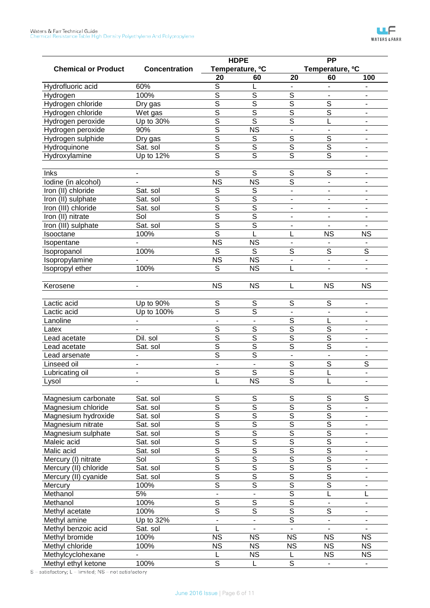|                            |                      |                         | <b>HDPE</b>                 | $\overline{PP}$          |                             |                              |
|----------------------------|----------------------|-------------------------|-----------------------------|--------------------------|-----------------------------|------------------------------|
| <b>Chemical or Product</b> | <b>Concentration</b> |                         | Temperature, <sup>o</sup> C |                          | Temperature, <sup>o</sup> C |                              |
|                            |                      | 20                      | 60                          | 20                       | 60                          | 100                          |
| Hydrofluoric acid          | 60%                  | S                       | L                           |                          |                             |                              |
| Hydrogen                   | 100%                 | $\overline{\mathsf{s}}$ | $\overline{\mathsf{s}}$     | $\overline{\mathsf{s}}$  |                             |                              |
| Hydrogen chloride          | Dry gas              | $\overline{\mathsf{s}}$ | $\overline{\mathsf{s}}$     | $\overline{\mathsf{s}}$  | S                           | $\qquad \qquad \blacksquare$ |
| Hydrogen chloride          | Wet gas              | S                       | S                           | S                        | $\overline{\mathsf{s}}$     | $\blacksquare$               |
| Hydrogen peroxide          | Up to 30%            | S                       | $\overline{\mathsf{s}}$     | $\overline{\mathsf{s}}$  | L                           |                              |
| Hydrogen peroxide          | 90%                  | S                       | $\overline{\text{NS}}$      | $\blacksquare$           | $\overline{\phantom{a}}$    | $\overline{\phantom{a}}$     |
| Hydrogen sulphide          | Dry gas              | S                       | $\overline{\mathsf{s}}$     | $\overline{\mathsf{s}}$  | $\overline{\mathsf{s}}$     | $\blacksquare$               |
| Hydroquinone               | Sat. sol             | $\overline{\mathsf{s}}$ | $\overline{\mathsf{s}}$     | $\overline{\mathsf{s}}$  | $\overline{\mathsf{s}}$     | $\overline{\phantom{a}}$     |
| Hydroxylamine              | Up to 12%            | $\overline{\mathsf{s}}$ | $\overline{\mathsf{s}}$     | $\overline{\mathsf{s}}$  | $\overline{\mathsf{s}}$     |                              |
| Inks                       | -                    | $\overline{s}$          | S                           | $\overline{\mathsf{s}}$  | $\overline{s}$              | $\qquad \qquad \blacksquare$ |
| lodine (in alcohol)        |                      | $\overline{\text{NS}}$  | $\overline{\text{NS}}$      | $\overline{\mathsf{s}}$  | $\blacksquare$              |                              |
| Iron (II) chloride         | Sat. sol             | S                       | S                           | ä,                       |                             |                              |
| Iron (II) sulphate         | Sat. sol             | $\overline{\mathsf{s}}$ | $\overline{\mathsf{s}}$     | $\overline{\phantom{a}}$ | $\blacksquare$              | $\overline{\phantom{a}}$     |
|                            |                      | S                       | S                           | $\blacksquare$           |                             | ÷.                           |
| Iron (III) chloride        | Sat. sol             | S                       | $\overline{\mathsf{s}}$     |                          |                             |                              |
| Iron (II) nitrate          | Sol                  | S                       |                             | $\blacksquare$           | $\blacksquare$              | $\overline{\phantom{m}}$     |
| Iron (III) sulphate        | Sat. sol             | $\overline{\mathsf{s}}$ | $\overline{\mathsf{s}}$     | $\blacksquare$           |                             |                              |
| Isooctane                  | 100%                 |                         | L                           | L                        | <b>NS</b>                   | <b>NS</b>                    |
| Isopentane                 |                      | $\overline{\text{NS}}$  | <b>NS</b>                   | $\blacksquare$           |                             |                              |
| Isopropanol                | 100%                 | $\overline{s}$          | $\overline{s}$              | S                        | S                           | $\overline{\mathsf{s}}$      |
| Isopropylamine             |                      | $\overline{\text{NS}}$  | $\overline{\text{NS}}$      | ä,                       | $\blacksquare$              | $\blacksquare$               |
| Isopropyl ether            | 100%                 | S                       | <b>NS</b>                   | L                        |                             | $\blacksquare$               |
|                            | $\blacksquare$       | <b>NS</b>               | <b>NS</b>                   | L                        | <b>NS</b>                   | <b>NS</b>                    |
| Kerosene                   |                      |                         |                             |                          |                             |                              |
| Lactic acid                | Up to 90%            | S                       | S                           | S                        | S                           | $\blacksquare$               |
| Lactic acid                | Up to 100%           | $\overline{\mathsf{s}}$ | $\overline{\mathsf{s}}$     |                          | $\blacksquare$              | $\overline{\phantom{m}}$     |
| Lanoline                   |                      | $\overline{a}$          |                             | $\overline{\mathsf{s}}$  | L                           | $\blacksquare$               |
| Latex                      |                      | $\overline{\mathsf{s}}$ | $\overline{\mathsf{s}}$     | $\overline{\mathsf{s}}$  | $\overline{\mathsf{s}}$     |                              |
| Lead acetate               | Dil. sol             | $\overline{\mathsf{s}}$ | $\overline{\mathsf{s}}$     | S                        | $\overline{\mathsf{s}}$     | $\overline{\phantom{a}}$     |
| Lead acetate               | Sat. sol             | $\overline{\mathsf{s}}$ | $\overline{\mathsf{s}}$     | $\overline{\mathsf{s}}$  | $\overline{\mathsf{s}}$     | $\blacksquare$               |
| Lead arsenate              |                      | $\overline{\mathsf{s}}$ | $\overline{\mathsf{s}}$     | $\overline{\phantom{a}}$ |                             |                              |
| Linseed oil                |                      |                         |                             | $\overline{\mathsf{s}}$  | $\overline{s}$              | $\overline{s}$               |
| Lubricating oil            |                      | $\overline{S}$          | $\overline{S}$              | $\overline{\mathsf{s}}$  | L                           | $\blacksquare$               |
| Lysol                      |                      | L                       | N <sub>S</sub>              | $\overline{\mathsf{s}}$  | L                           |                              |
|                            |                      |                         |                             |                          |                             |                              |
| Magnesium carbonate        | Sat. sol             | S                       | S                           | S                        | $\mathsf S$                 | $\overline{S}$               |
| Magnesium chloride         | Sat. sol             | $\overline{\mathsf{s}}$ | $\overline{\mathsf{s}}$     | $\overline{\mathsf{s}}$  | $\overline{s}$              | $\overline{\phantom{a}}$     |
| Magnesium hydroxide        | Sat. sol             | $\overline{\mathsf{s}}$ | $\overline{\mathsf{s}}$     | $\overline{\mathsf{s}}$  | $\overline{\mathsf{s}}$     | $\overline{\phantom{0}}$     |
| Magnesium nitrate          | Sat. sol             | $\overline{\mathsf{s}}$ | $\overline{\mathsf{s}}$     | $\overline{\mathsf{s}}$  | $\overline{\mathsf{s}}$     | $\blacksquare$               |
| Magnesium sulphate         | Sat. sol             | $\overline{\mathsf{s}}$ | $\overline{\mathsf{s}}$     | $\overline{\mathsf{s}}$  | $\overline{\mathsf{s}}$     | $\blacksquare$               |
| Maleic acid                | Sat. sol             | $\overline{\mathsf{s}}$ | $\overline{\mathsf{s}}$     | $\overline{\mathsf{s}}$  | $\overline{\mathsf{s}}$     | $\blacksquare$               |
| Malic acid                 | Sat. sol             | $\overline{\mathsf{s}}$ | $\overline{\mathsf{s}}$     | $\overline{\mathsf{s}}$  | $\overline{\mathsf{s}}$     | ۰                            |
| Mercury (I) nitrate        | Sol                  | $\overline{\mathsf{s}}$ | $\overline{\mathsf{s}}$     | $\overline{\mathsf{s}}$  | $\overline{\mathsf{s}}$     | $\overline{\phantom{a}}$     |
| Mercury (II) chloride      | Sat. sol             | $\overline{\mathsf{s}}$ | $\overline{\mathsf{s}}$     | $\overline{\mathsf{s}}$  | $\overline{\mathsf{s}}$     | $\overline{\phantom{a}}$     |
| Mercury (II) cyanide       | Sat. sol             | $\overline{\mathsf{s}}$ | $\overline{\mathsf{s}}$     | $\overline{\mathsf{s}}$  | $\overline{\mathsf{s}}$     | ۰                            |
| Mercury                    | 100%                 | $\overline{\mathsf{s}}$ | $\overline{\mathsf{s}}$     | $\overline{\mathsf{s}}$  | $\overline{\mathsf{s}}$     | $\overline{\phantom{0}}$     |
| Methanol                   | 5%                   | $\frac{1}{2}$           | $\blacksquare$              | $\overline{\mathsf{s}}$  | L                           | L                            |
| Methanol                   | 100%                 | $\overline{\mathsf{s}}$ | $\overline{\mathsf{s}}$     | $\overline{\mathsf{s}}$  |                             | $\blacksquare$               |
| Methyl acetate             | 100%                 | $\overline{\mathsf{s}}$ | $\overline{\mathsf{s}}$     | $\overline{\mathsf{s}}$  | $\overline{\mathsf{s}}$     | $\overline{\phantom{a}}$     |
| Methyl amine               | Up to 32%            | $\frac{1}{2}$           | $\blacksquare$              | $\overline{\mathsf{s}}$  |                             | $\blacksquare$               |
| Methyl benzoic acid        | Sat. sol             | L                       |                             |                          |                             |                              |
| Methyl bromide             | 100%                 | <b>NS</b>               | <b>NS</b>                   | <b>NS</b>                | <b>NS</b>                   | <b>NS</b>                    |
| Methyl chloride            | 100%                 | $\overline{\text{NS}}$  | <b>NS</b>                   | <b>NS</b>                | <b>NS</b>                   | <b>NS</b>                    |
| Methylcyclohexane          |                      | L                       | <b>NS</b>                   | L                        | <b>NS</b>                   | <b>NS</b>                    |
| Methyl ethyl ketone        | 100%                 | $\overline{\mathsf{s}}$ | L                           | $\overline{s}$           |                             |                              |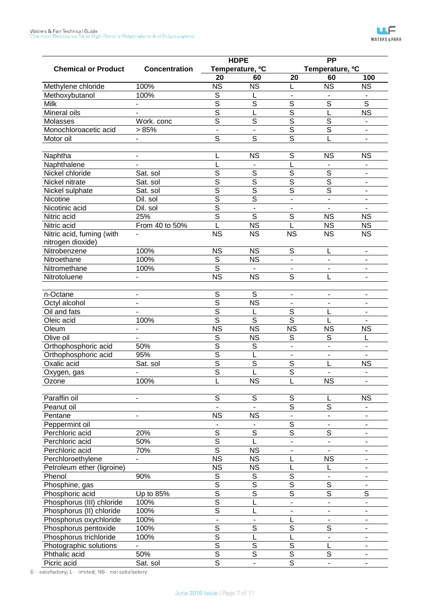|                            |                              | <b>HDPE</b>              |                             | <b>PP</b>               |                             |                          |  |
|----------------------------|------------------------------|--------------------------|-----------------------------|-------------------------|-----------------------------|--------------------------|--|
| <b>Chemical or Product</b> | <b>Concentration</b>         |                          | Temperature, <sup>o</sup> C |                         | Temperature, <sup>o</sup> C |                          |  |
|                            |                              | 20                       | 60                          | 20                      | 60                          | 100                      |  |
| Methylene chloride         | 100%                         | <b>NS</b>                | <b>NS</b>                   | L                       | <b>NS</b>                   | <b>NS</b>                |  |
| Methoxybutanol             | 100%                         | S                        | L                           | ä,                      |                             |                          |  |
| Milk                       |                              | $\overline{\mathsf{s}}$  | $\overline{\mathsf{s}}$     | $\overline{s}$          | $\overline{s}$              | $\overline{s}$           |  |
| Mineral oils               |                              | S                        | L                           | $\overline{\mathsf{s}}$ | L                           | $\overline{\text{NS}}$   |  |
| Molasses                   | Work. conc                   | $\overline{\mathsf{s}}$  | $\overline{s}$              | $\overline{\mathsf{s}}$ | $\overline{\mathsf{s}}$     | $\blacksquare$           |  |
| Monochloroacetic acid      | > 85%                        | $\overline{\phantom{a}}$ | ä,                          | $\overline{\mathsf{s}}$ | $\overline{\mathsf{s}}$     | $\overline{\phantom{a}}$ |  |
| Motor oil                  |                              | $\overline{s}$           | $\overline{s}$              | $\overline{\mathsf{s}}$ | L                           | $\blacksquare$           |  |
| Naphtha                    | $\qquad \qquad \blacksquare$ | L                        | <b>NS</b>                   | $\overline{S}$          | <b>NS</b>                   | <b>NS</b>                |  |
| Naphthalene                |                              | L                        |                             | L                       |                             | $\blacksquare$           |  |
| Nickel chloride            | Sat. sol                     | $\overline{\mathsf{s}}$  | $\overline{S}$              | $\overline{\mathsf{s}}$ | $\overline{s}$              | $\overline{\phantom{0}}$ |  |
| Nickel nitrate             | Sat. sol                     | $\overline{\mathsf{s}}$  | $\overline{\mathsf{s}}$     | $\overline{\mathsf{s}}$ | $\overline{\mathsf{s}}$     | $\overline{\phantom{a}}$ |  |
| Nickel sulphate            | Sat. sol                     | $\overline{\mathsf{s}}$  | $\overline{\mathsf{s}}$     | $\overline{\mathsf{s}}$ | $\overline{s}$              | $\blacksquare$           |  |
| Nicotine                   | Dil. sol                     | S                        | $\overline{\mathsf{s}}$     | $\overline{a}$          | $\overline{\phantom{a}}$    | $\overline{\phantom{a}}$ |  |
| Nicotinic acid             | Dil. sol                     | S                        | $\overline{\phantom{a}}$    |                         |                             |                          |  |
| Nitric acid                | 25%                          | $\overline{\mathsf{s}}$  | $\overline{s}$              | $\overline{s}$          | <b>NS</b>                   | <b>NS</b>                |  |
| Nitric acid                | From 40 to 50%               | L                        | $\overline{\text{NS}}$      | L                       | <b>NS</b>                   | <b>NS</b>                |  |
| Nitric acid, fuming (with  |                              | <b>NS</b>                | $\overline{\text{NS}}$      | <b>NS</b>               | $\overline{\text{NS}}$      | $\overline{\text{NS}}$   |  |
| nitrogen dioxide)          |                              |                          |                             |                         |                             |                          |  |
| Nitrobenzene               | 100%                         | <b>NS</b>                | <b>NS</b>                   | S                       |                             | $\overline{\phantom{0}}$ |  |
| Nitroethane                | 100%                         | S                        | <b>NS</b>                   |                         |                             |                          |  |
| Nitromethane               | 100%                         | $\overline{\mathsf{s}}$  |                             |                         | ä,                          | ٠                        |  |
| Nitrotoluene               |                              | $\overline{\text{NS}}$   | <b>NS</b>                   | S                       |                             |                          |  |
|                            |                              |                          |                             |                         |                             |                          |  |
| n-Octane                   |                              | S                        | S                           | ÷,                      | ä,                          | ٠                        |  |
| Octyl alcohol              |                              | S                        | $\overline{\text{NS}}$      |                         |                             |                          |  |
| Oil and fats               |                              | S                        |                             | S                       |                             | $\overline{\phantom{0}}$ |  |
| Oleic acid                 | 100%                         | S                        | $\overline{s}$              | $\overline{\mathsf{s}}$ |                             |                          |  |
| Oleum                      |                              | $\overline{\text{NS}}$   | $\overline{\text{NS}}$      | $\overline{\text{NS}}$  | <b>NS</b>                   | <b>NS</b>                |  |
| Olive oil                  |                              | S                        | <b>NS</b>                   | S                       | S                           |                          |  |
| Orthophosphoric acid       | 50%                          | S                        | S                           | $\overline{a}$          |                             | ÷.                       |  |
| Orthophosphoric acid       | 95%                          | S                        | L                           |                         |                             |                          |  |
| Oxalic acid                | Sat. sol                     | S                        | $\overline{s}$              | S                       |                             | <b>NS</b>                |  |
| Oxygen, gas                |                              | $\overline{\mathsf{s}}$  | L                           | $\overline{s}$          |                             | $\blacksquare$           |  |
| Ozone                      | 100%                         | ц                        | $\overline{\text{NS}}$      | ц                       | N <sub>S</sub>              |                          |  |
|                            |                              |                          |                             |                         |                             |                          |  |
| Paraffin oil               |                              | S                        | S                           | S                       |                             | <b>NS</b>                |  |
| Peanut oil                 |                              |                          |                             | $\overline{\mathsf{s}}$ | $\overline{s}$              |                          |  |
| Pentane                    |                              | <b>NS</b>                | <b>NS</b>                   | ÷,                      | $\overline{\phantom{0}}$    |                          |  |
| Peppermint oil             |                              |                          |                             | $\overline{s}$          |                             | ٠                        |  |
| Perchloric acid            | 20%                          | $\overline{s}$           | $\overline{s}$              | $\overline{\mathsf{s}}$ | S                           | -                        |  |
| Perchloric acid            | 50%                          | $\overline{\mathsf{s}}$  | L                           | ÷.                      | $\blacksquare$              | ٠                        |  |
| Perchloric acid            | 70%                          | $\overline{\mathsf{s}}$  | <b>NS</b>                   | -                       |                             | ۰                        |  |
| Perchloroethylene          |                              | $\overline{\text{NS}}$   | <b>NS</b>                   | L                       | <b>NS</b>                   | -                        |  |
| Petroleum ether (ligroine) |                              | $\overline{\text{NS}}$   | <b>NS</b>                   | L                       |                             | ٠                        |  |
| Phenol                     | 90%                          | $\overline{s}$           | $\mathsf S$                 | $\overline{S}$          | $\overline{\phantom{a}}$    | -                        |  |
| Phosphine, gas             |                              | $\overline{\mathsf{s}}$  | $\overline{\mathsf{s}}$     | $\overline{\mathsf{s}}$ | $\overline{s}$              | $\overline{\phantom{a}}$ |  |
| Phosphoric acid            | Up to 85%                    | $\overline{\mathsf{s}}$  | $\overline{\mathsf{s}}$     | $\overline{\mathsf{s}}$ | $\overline{\mathsf{s}}$     | $\overline{S}$           |  |
| Phosphorus (III) chloride  | 100%                         | $\overline{\mathsf{s}}$  | L                           | ÷,                      |                             | L.                       |  |
| Phosphorus (II) chloride   | 100%                         | $\overline{\mathsf{s}}$  | L                           | ٠                       | -                           | ٠                        |  |
| Phosphorus oxychloride     | 100%                         | $\overline{a}$           | $\blacksquare$              |                         | ۰                           | ÷                        |  |
| Phosphorus pentoxide       | 100%                         | $\overline{s}$           | S                           | $\overline{S}$          | S                           | -                        |  |
| Phosphorus trichloride     | 100%                         | $\overline{\mathsf{s}}$  | L                           |                         | $\overline{\phantom{0}}$    | ٠                        |  |
| Photographic solutions     |                              | $\overline{\mathsf{s}}$  | $\overline{s}$              | $\overline{s}$          | L                           | $\blacksquare$           |  |
| Phthalic acid              | 50%                          | $\overline{\mathsf{s}}$  | $\overline{\mathsf{s}}$     | $\overline{\mathsf{s}}$ | $\mathbb S$                 | -                        |  |
| Picric acid                | Sat. sol                     | $\overline{\mathsf{s}}$  |                             | $\overline{\mathsf{s}}$ | $\overline{a}$              |                          |  |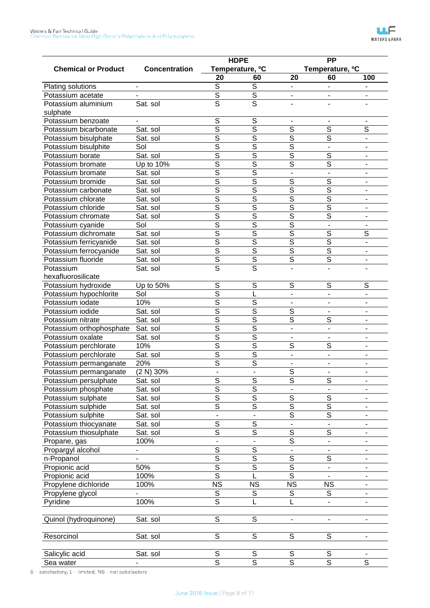|                            |                      |                         | <b>HDPE</b>                 |                          | <b>PP</b>                   |                              |
|----------------------------|----------------------|-------------------------|-----------------------------|--------------------------|-----------------------------|------------------------------|
| <b>Chemical or Product</b> | <b>Concentration</b> |                         | Temperature, <sup>o</sup> C |                          | Temperature, <sup>o</sup> C |                              |
|                            |                      | 20                      | 60                          | 20                       | 60                          | 100                          |
| Plating solutions          |                      | S                       | S                           |                          |                             |                              |
| Potassium acetate          |                      | $\overline{\mathsf{s}}$ | $\overline{\mathsf{s}}$     |                          |                             |                              |
| Potassium aluminium        | Sat. sol             | $\overline{\mathsf{s}}$ | $\overline{s}$              |                          |                             |                              |
| sulphate                   |                      |                         |                             |                          |                             |                              |
| Potassium benzoate         |                      | S                       | S                           |                          |                             |                              |
| Potassium bicarbonate      | Sat. sol             | $\overline{\mathsf{s}}$ | $\overline{\mathsf{s}}$     | $\overline{\mathsf{s}}$  | $\overline{s}$              | $\overline{s}$               |
| Potassium bisulphate       | Sat. sol             | $\overline{\mathsf{s}}$ | $\overline{\mathsf{s}}$     | S                        | $\overline{\mathsf{s}}$     | $\blacksquare$               |
| Potassium bisulphite       | Sol                  | $\overline{\mathsf{s}}$ | $\overline{\mathsf{s}}$     | $\overline{\mathsf{s}}$  | $\overline{\phantom{a}}$    | $\overline{\phantom{a}}$     |
| Potassium borate           | Sat. sol             | $\overline{\mathsf{s}}$ | $\overline{\mathsf{s}}$     | $\overline{\mathsf{s}}$  | $\overline{\mathsf{s}}$     | $\blacksquare$               |
| Potassium bromate          | Up to 10%            | $\overline{\mathsf{s}}$ | $\overline{\mathsf{s}}$     | $\overline{\mathsf{s}}$  | $\overline{s}$              | $\overline{\phantom{a}}$     |
| Potassium bromate          | Sat. sol             | $\overline{\mathsf{s}}$ | $\overline{\mathsf{s}}$     | $\blacksquare$           | $\overline{\phantom{a}}$    | $\overline{\phantom{a}}$     |
| Potassium bromide          | Sat. sol             | $\overline{\mathsf{s}}$ | $\overline{\mathsf{s}}$     | $\overline{\mathsf{s}}$  | $\overline{s}$              | $\blacksquare$               |
| Potassium carbonate        | Sat. sol             | $\overline{\mathsf{s}}$ | $\overline{\mathsf{s}}$     | $\overline{\mathsf{s}}$  | $\overline{\mathsf{s}}$     | $\blacksquare$               |
| Potassium chlorate         | Sat. sol             | $\overline{\mathsf{s}}$ | $\overline{\mathsf{s}}$     | $\overline{\mathsf{s}}$  | $\overline{\mathsf{s}}$     | $\overline{\phantom{a}}$     |
| Potassium chloride         | Sat. sol             | $\overline{\mathsf{s}}$ | $\overline{\mathsf{s}}$     | $\overline{\mathsf{s}}$  | $\overline{\mathsf{s}}$     | $\overline{\phantom{a}}$     |
| Potassium chromate         | Sat. sol             | $\overline{\mathsf{s}}$ | $\overline{\mathsf{s}}$     | $\overline{\mathsf{s}}$  | $\overline{s}$              | $\blacksquare$               |
| Potassium cyanide          | Sol                  | $\overline{\mathsf{s}}$ | $\overline{\mathsf{s}}$     | $\overline{\mathsf{s}}$  | $\overline{a}$              |                              |
| Potassium dichromate       | Sat. sol             | $\overline{\mathsf{s}}$ | $\overline{\mathsf{s}}$     | $\overline{\mathsf{s}}$  | $\overline{s}$              | $\overline{s}$               |
| Potassium ferricyanide     | Sat. sol             | $\overline{\mathsf{s}}$ | $\overline{\mathsf{s}}$     | $\overline{\mathsf{s}}$  | $\overline{\mathsf{s}}$     | $\overline{\phantom{a}}$     |
| Potassium ferrocyanide     | Sat. sol             | $\overline{\mathsf{s}}$ | $\overline{\mathsf{s}}$     | $\overline{\mathsf{s}}$  | $\overline{\mathsf{s}}$     | $\blacksquare$               |
| Potassium fluoride         | Sat. sol             | $\overline{\mathsf{s}}$ | $\overline{\mathsf{s}}$     | $\overline{\mathsf{s}}$  | $\overline{s}$              | $\qquad \qquad \blacksquare$ |
| Potassium                  | Sat. sol             | $\overline{\mathsf{s}}$ | $\overline{s}$              |                          |                             |                              |
| hexafluorosilicate         |                      |                         |                             |                          |                             |                              |
| Potassium hydroxide        | Up to 50%            | S                       | S                           | S                        | S                           | S                            |
| Potassium hypochlorite     | Sol                  | $\overline{s}$          |                             | $\overline{\phantom{a}}$ | $\blacksquare$              | $\blacksquare$               |
| Potassium iodate           | 10%                  | $\overline{s}$          | $\overline{S}$              |                          | $\blacksquare$              | $\sim$                       |
| Potassium iodide           | Sat. sol             | $\overline{s}$          | $\overline{s}$              | S                        | $\blacksquare$              | $\blacksquare$               |
| Potassium nitrate          | Sat. sol             | $\overline{\mathsf{s}}$ | $\overline{\mathsf{s}}$     | $\overline{\mathsf{s}}$  | S                           | $\blacksquare$               |
| Potassium orthophosphate   | Sat. sol             | $\overline{\mathsf{s}}$ | $\overline{\mathsf{s}}$     | $\blacksquare$           | $\blacksquare$              | ٠                            |
| Potassium oxalate          | Sat. sol             | $\overline{s}$          | $\overline{\mathsf{s}}$     |                          |                             |                              |
| Potassium perchlorate      | 10%                  | $\overline{\mathsf{s}}$ | $\overline{\mathsf{s}}$     | S                        | S                           | ٠                            |
| Potassium perchlorate      | Sat. sol             | $\overline{\mathsf{s}}$ | $\overline{\mathsf{s}}$     | $\overline{\phantom{a}}$ | $\blacksquare$              | $\blacksquare$               |
| Potassium permanganate     | 20%                  | $\overline{s}$          | $\overline{s}$              |                          |                             |                              |
| Potassium permanganate     | (2 N) 30%            | ä,                      | $\blacksquare$              | S                        | $\blacksquare$              |                              |
| Potassium persulphate      | Sat. sol             | $\overline{s}$          | $\overline{\mathcal{S}}$    | $\overline{\mathsf{s}}$  | $\overline{\mathcal{S}}$    |                              |
| Potassium phosphate        | Sat. sol             | $\overline{s}$          | $\overline{s}$              |                          |                             |                              |
| Potassium sulphate         | Sat. sol             | $\overline{s}$          | $\overline{s}$              | $\mathsf S$              | $\mathbb S$                 |                              |
| Potassium sulphide         | Sat. sol             | $\overline{\mathsf{s}}$ | $\overline{s}$              | $\overline{\mathsf{s}}$  | $\overline{\mathsf{s}}$     | $\overline{\phantom{a}}$     |
| Potassium sulphite         | Sat. sol             |                         |                             | $\overline{s}$           | $\overline{s}$              | $\overline{\phantom{a}}$     |
| Potassium thiocyanate      | Sat. sol             | $\overline{s}$          | $\overline{s}$              |                          |                             | $\blacksquare$               |
| Potassium thiosulphate     | Sat. sol             | $\overline{s}$          | $\overline{s}$              | $\overline{S}$           | $\mathsf S$                 | $\overline{\phantom{a}}$     |
| Propane, gas               | 100%                 |                         |                             | $\overline{s}$           | $\blacksquare$              | $\overline{\phantom{a}}$     |
| Propargyl alcohol          |                      | $\overline{\mathsf{s}}$ | $\overline{\mathsf{s}}$     |                          |                             | $\blacksquare$               |
| n-Propanol                 |                      | $\overline{\mathsf{s}}$ | $\overline{\mathsf{s}}$     | $\overline{S}$           | $\mathbb S$                 | $\blacksquare$               |
| Propionic acid             | 50%                  | $\overline{\mathsf{s}}$ | $\overline{s}$              | $\overline{\mathsf{s}}$  | ۰                           | ۰                            |
| Propionic acid             | 100%                 | $\overline{\mathsf{s}}$ |                             | $\overline{s}$           |                             | $\overline{\phantom{a}}$     |
|                            | 100%                 | <b>NS</b>               | <b>NS</b>                   | <b>NS</b>                | <b>NS</b>                   | $\blacksquare$               |
| Propylene dichloride       |                      |                         |                             |                          |                             |                              |
| Propylene glycol           |                      | S<br>$\overline{s}$     | S                           | S                        | S                           | $\overline{\phantom{a}}$     |
| Pyridine                   | 100%                 |                         | L                           | L                        | $\overline{\phantom{a}}$    | $\blacksquare$               |
|                            |                      |                         |                             |                          |                             |                              |
| Quinol (hydroquinone)      | Sat. sol             | $\mathbb S$             | S                           | $\overline{\phantom{a}}$ | $\overline{\phantom{a}}$    | $\blacksquare$               |
|                            |                      |                         |                             |                          |                             |                              |
| Resorcinol                 | Sat. sol             | $\mathbb S$             | S                           | S                        | $\mathbb S$                 | $\overline{\phantom{a}}$     |
|                            |                      |                         |                             |                          |                             |                              |
| Salicylic acid             | Sat. sol             | $\mathbb S$             | S                           | S                        | S                           |                              |
| Sea water                  |                      | $\overline{s}$          | $\overline{s}$              | $\overline{\mathsf{s}}$  | $\overline{s}$              | $\overline{s}$               |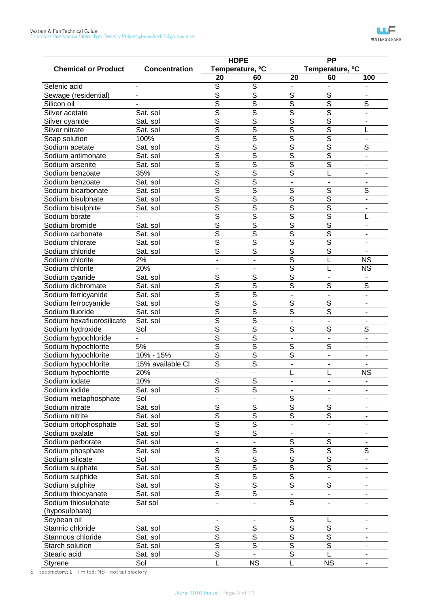|                                        |                      |                         | <b>HDPE</b>                 |                         | <b>PP</b>                   |                          |
|----------------------------------------|----------------------|-------------------------|-----------------------------|-------------------------|-----------------------------|--------------------------|
| <b>Chemical or Product</b>             | <b>Concentration</b> |                         | Temperature, <sup>o</sup> C |                         | Temperature, <sup>o</sup> C |                          |
|                                        |                      | 20                      | 60                          | 20                      | 60                          | 100                      |
| Selenic acid                           |                      | $\overline{s}$          | $\overline{s}$              |                         |                             |                          |
| Sewage (residential)                   |                      | S                       | $\overline{\mathsf{s}}$     | $\overline{\mathsf{s}}$ | $\overline{s}$              |                          |
| Silicon oil                            |                      | $\overline{\mathsf{s}}$ | $\overline{\mathsf{s}}$     | $\overline{\mathsf{s}}$ | $\overline{\mathsf{s}}$     | $\overline{\mathsf{s}}$  |
| Silver acetate                         | Sat. sol             | $\overline{\mathsf{s}}$ | $\overline{\mathsf{s}}$     | $\overline{\mathsf{s}}$ | $\overline{\mathsf{s}}$     |                          |
| Silver cyanide                         | Sat. sol             | $\overline{\mathsf{s}}$ | $\overline{\mathsf{s}}$     | $\overline{\mathsf{s}}$ | $\overline{\mathsf{s}}$     |                          |
| Silver nitrate                         | Sat. sol             | S                       | S                           | $\overline{\mathsf{s}}$ | $\overline{\mathsf{s}}$     |                          |
| Soap solution                          | 100%                 | $\overline{\mathsf{s}}$ | $\overline{\mathsf{s}}$     | $\overline{\mathsf{s}}$ | $\overline{\mathsf{s}}$     | $\overline{\phantom{a}}$ |
| Sodium acetate                         | Sat. sol             | $\overline{\mathsf{s}}$ | $\overline{\mathsf{s}}$     | $\overline{\mathsf{s}}$ | $\overline{\mathsf{s}}$     | $\overline{s}$           |
| Sodium antimonate                      | Sat. sol             | $\overline{\mathsf{s}}$ | S                           | $\overline{\mathsf{s}}$ | $\overline{\mathsf{s}}$     | $\blacksquare$           |
| Sodium arsenite                        | Sat. sol             | $\overline{\mathsf{s}}$ | $\overline{\mathsf{s}}$     | $\overline{\mathsf{s}}$ | $\overline{\mathsf{s}}$     |                          |
| Sodium benzoate                        | 35%                  | $\overline{\mathsf{s}}$ | $\overline{\mathsf{s}}$     | $\overline{\mathsf{s}}$ | L                           |                          |
| Sodium benzoate                        | Sat. sol             | $\overline{\mathsf{s}}$ | $\overline{\mathsf{s}}$     | $\frac{1}{2}$           |                             |                          |
| Sodium bicarbonate                     | Sat. sol             | S                       | $\overline{\mathsf{s}}$     | $\overline{\mathsf{s}}$ | $\overline{\mathsf{s}}$     | $\overline{s}$           |
| Sodium bisulphate                      | Sat. sol             | $\overline{\mathsf{s}}$ | $\overline{\mathsf{s}}$     | $\overline{\mathsf{s}}$ | $\overline{\mathsf{s}}$     | $\blacksquare$           |
| Sodium bisulphite                      | Sat. sol             | $\overline{\mathsf{s}}$ | $\overline{\mathsf{s}}$     | $\overline{\mathsf{s}}$ | $\overline{\mathsf{s}}$     |                          |
| Sodium borate                          |                      | $\overline{\mathsf{s}}$ | $\overline{\mathsf{s}}$     | $\overline{\mathsf{s}}$ | $\overline{\mathsf{s}}$     |                          |
| Sodium bromide                         | Sat. sol             | S                       | S                           | $\overline{\mathsf{s}}$ | $\overline{\mathsf{s}}$     | $\blacksquare$           |
| Sodium carbonate                       | Sat. sol             | $\overline{\mathsf{s}}$ | $\overline{\mathsf{s}}$     | $\overline{\mathsf{s}}$ | $\overline{\mathsf{s}}$     |                          |
| Sodium chlorate                        | Sat. sol             | $\overline{\mathsf{s}}$ | $\overline{\mathsf{s}}$     | $\overline{\mathsf{s}}$ | $\overline{\mathsf{s}}$     |                          |
| Sodium chloride                        | Sat. sol             | $\overline{\mathsf{s}}$ | $\overline{\mathsf{s}}$     | $\overline{\mathsf{s}}$ | $\overline{\mathsf{s}}$     |                          |
| Sodium chlorite                        | 2%                   | $\blacksquare$          | $\blacksquare$              | $\overline{\mathsf{s}}$ | L                           | <b>NS</b>                |
| Sodium chlorite                        | 20%                  |                         |                             | $\overline{\mathsf{s}}$ | L                           | <b>NS</b>                |
| Sodium cyanide                         | Sat. sol             | $\overline{\mathsf{s}}$ | $\overline{\mathsf{s}}$     | $\overline{\mathsf{s}}$ |                             |                          |
| Sodium dichromate                      | Sat. sol             | S                       | S                           | $\overline{\mathsf{s}}$ | S                           | $\overline{s}$           |
| Sodium ferricyanide                    | Sat. sol             | $\overline{\mathsf{s}}$ | $\overline{\mathsf{s}}$     |                         |                             |                          |
|                                        | Sat. sol             | $\overline{\mathsf{s}}$ | $\overline{\mathsf{s}}$     | $\overline{\mathsf{s}}$ | $\overline{\mathsf{s}}$     | $\blacksquare$           |
| Sodium ferrocyanide<br>Sodium fluoride | Sat. sol             | $\overline{\mathsf{s}}$ | $\overline{\mathsf{s}}$     | $\overline{\mathsf{s}}$ | $\overline{\mathsf{s}}$     |                          |
| Sodium hexafluorosilicate              |                      | S                       | S                           |                         |                             |                          |
|                                        | Sat. sol<br>Sol      | $\overline{\mathsf{s}}$ | $\overline{\mathsf{s}}$     | $\overline{\mathsf{s}}$ | $\overline{\mathsf{s}}$     | $\overline{s}$           |
| Sodium hydroxide                       |                      | $\overline{\mathsf{s}}$ | $\overline{\mathsf{s}}$     |                         |                             |                          |
| Sodium hypochloride                    |                      | $\overline{\mathsf{s}}$ | $\overline{\mathsf{s}}$     |                         |                             | $\blacksquare$           |
| Sodium hypochlorite                    | 5%                   | $\overline{\mathsf{s}}$ | $\overline{s}$              | $\overline{s}$          | $\overline{\mathsf{s}}$     |                          |
| Sodium hypochlorite                    | $10% - 15%$          |                         |                             | $\overline{\mathsf{s}}$ | $\blacksquare$              |                          |
| Sodium hypochlorite                    | 15% available CI     | $\overline{\mathsf{s}}$ | $\overline{s}$              | $\blacksquare$          |                             |                          |
| Sodium hypochlorite                    | 20%                  | $\overline{a}$          | $\overline{a}$              |                         |                             | <b>NS</b>                |
| Sodium iodate                          | 10%                  | $\overline{\mathsf{s}}$ | $\overline{\mathsf{s}}$     |                         |                             |                          |
| Sodium iodide                          | Sat. sol             | S                       | $\overline{\mathsf{s}}$     |                         |                             |                          |
| Sodium metaphosphate                   | Sol                  |                         |                             | $\overline{\mathsf{s}}$ |                             |                          |
| Sodium nitrate                         | Sat. sol             | $\overline{\mathsf{s}}$ | $\overline{\mathsf{s}}$     | $\overline{\mathsf{s}}$ | $\overline{s}$              |                          |
| Sodium nitrite                         | Sat. sol             | $\overline{\mathsf{s}}$ | $\overline{\mathsf{s}}$     | $\overline{\mathsf{s}}$ | $\overline{\mathsf{s}}$     |                          |
| Sodium ortophosphate                   | Sat. sol             | $\overline{\mathsf{s}}$ | $\overline{\mathsf{s}}$     | ÷                       |                             |                          |
| Sodium oxalate                         | Sat. sol             | $\overline{\mathsf{s}}$ | $\overline{\mathsf{s}}$     |                         |                             |                          |
| Sodium perborate                       | Sat. sol             |                         |                             | $\overline{\mathsf{s}}$ | $\overline{\mathsf{s}}$     |                          |
| Sodium phosphate                       | Sat. sol             | $\overline{\mathsf{s}}$ | $\overline{\mathsf{s}}$     | $\overline{\mathsf{s}}$ | $\overline{\mathsf{s}}$     | $\overline{\mathsf{s}}$  |
| Sodium silicate                        | Sol                  | $\overline{\mathsf{s}}$ | $\overline{\mathsf{s}}$     | $\overline{\mathsf{s}}$ | $\overline{\mathsf{s}}$     | ۰                        |
| Sodium sulphate                        | Sat. sol             | $\overline{\mathsf{s}}$ | $\overline{\mathsf{s}}$     | $\overline{\mathsf{s}}$ | $\overline{\mathsf{s}}$     |                          |
| Sodium sulphide                        | Sat. sol             | $\overline{\mathsf{s}}$ | $\overline{\mathsf{s}}$     | $\overline{\mathsf{s}}$ |                             |                          |
| Sodium sulphite                        | Sat. sol             | $\overline{\mathsf{s}}$ | $\overline{\mathsf{s}}$     | $\overline{\mathsf{s}}$ | $\overline{\mathsf{s}}$     | ۰                        |
| Sodium thiocyanate                     | Sat. sol             | $\overline{\mathsf{s}}$ | $\overline{\mathsf{s}}$     |                         |                             |                          |
| Sodium thiosulphate                    | Sat sol              |                         |                             | $\overline{\mathsf{s}}$ |                             |                          |
| (hyposulphate)                         |                      |                         |                             |                         |                             |                          |
| Soybean oil                            |                      |                         |                             | $\mathsf S$             |                             |                          |
| Stannic chloride                       | Sat. sol             | $\overline{\mathsf{s}}$ | $\overline{\mathsf{s}}$     | $\overline{\mathsf{s}}$ | $\overline{\mathsf{s}}$     |                          |
| Stannous chloride                      | Sat. sol             | $\overline{\mathsf{s}}$ | $\overline{\mathsf{s}}$     | $\overline{\mathsf{s}}$ | $\overline{\mathsf{s}}$     | $\overline{\phantom{0}}$ |
| Starch solution                        | Sat. sol             | $\overline{s}$          | $\overline{\mathsf{s}}$     | $\overline{s}$          | $\overline{s}$              | ۰                        |
| Stearic acid                           | Sat. sol             | $\overline{\mathsf{s}}$ |                             | $\overline{s}$          |                             |                          |
| Styrene                                | Sol                  | L                       | $\overline{\text{NS}}$      | $\overline{L}$          | $\overline{\text{NS}}$      |                          |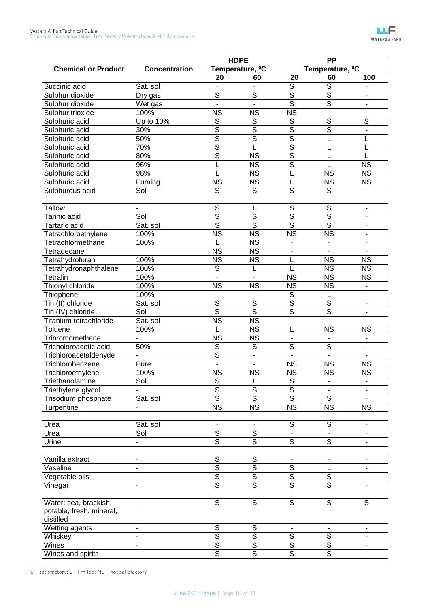|                                                   |                          |                         | <b>HDPE</b>                 |                         | $\overline{PP}$             |                              |  |
|---------------------------------------------------|--------------------------|-------------------------|-----------------------------|-------------------------|-----------------------------|------------------------------|--|
| <b>Chemical or Product</b>                        | <b>Concentration</b>     |                         | Temperature, <sup>o</sup> C |                         | Temperature, <sup>o</sup> C |                              |  |
|                                                   |                          | 20                      | 60                          | 20                      | 60                          | 100                          |  |
| Succinic acid                                     | Sat. sol                 |                         |                             | $\overline{s}$          | $\overline{s}$              |                              |  |
| Sulphur dioxide                                   | Dry gas                  | S                       | $\overline{s}$              | $\overline{s}$          | $\overline{\mathsf{s}}$     |                              |  |
| Sulphur dioxide                                   | Wet gas                  | $\blacksquare$          |                             | $\overline{\mathsf{s}}$ | $\overline{\mathsf{s}}$     | $\overline{\phantom{a}}$     |  |
| Sulphur trioxide                                  | 100%                     | <b>NS</b>               | <b>NS</b>                   | $\overline{\text{NS}}$  | $\blacksquare$              | $\overline{\phantom{a}}$     |  |
| Sulphuric acid                                    | Up to 10%                | S                       | S                           | $\overline{S}$          | $\overline{\mathsf{s}}$     | $\overline{s}$               |  |
| Sulphuric acid                                    | 30%                      | S                       | $\overline{s}$              | $\overline{s}$          | $\overline{\mathsf{s}}$     | $\overline{\phantom{0}}$     |  |
| Sulphuric acid                                    | 50%                      | S                       | $\overline{s}$              | $\overline{\mathsf{s}}$ |                             |                              |  |
| Sulphuric acid                                    | 70%                      | S                       | L                           | $\overline{\mathsf{s}}$ |                             |                              |  |
| Sulphuric acid                                    | 80%                      | $\overline{\mathsf{s}}$ | <b>NS</b>                   | $\overline{s}$          |                             |                              |  |
| Sulphuric acid                                    | 96%                      |                         | $\overline{\text{NS}}$      | $\overline{\mathsf{s}}$ |                             | <b>NS</b>                    |  |
| Sulphuric acid                                    | 98%                      |                         | $\overline{\text{NS}}$      | L                       | <b>NS</b>                   | <b>NS</b>                    |  |
| Sulphuric acid                                    | Fuming                   | <b>NS</b>               | <b>NS</b>                   | L                       | <b>NS</b>                   | <b>NS</b>                    |  |
| Sulphurous acid                                   | Sol                      | S                       | S                           | $\overline{s}$          | S                           |                              |  |
| <b>Tallow</b>                                     |                          | S                       | L                           | S                       | $\mathsf S$                 | $\qquad \qquad \blacksquare$ |  |
| Tannic acid                                       | Sol                      | S                       | $\overline{s}$              | $\overline{s}$          | $\overline{\mathsf{s}}$     | $\blacksquare$               |  |
| Tartaric acid                                     | Sat. sol                 | $\overline{\mathsf{s}}$ | $\overline{s}$              | $\overline{\mathsf{s}}$ | $\overline{s}$              | $\overline{\phantom{a}}$     |  |
| Tetrachloroethylene                               | 100%                     | $\overline{\text{NS}}$  | $\overline{\text{NS}}$      | $\overline{\text{NS}}$  | $\overline{\text{NS}}$      | $\overline{\phantom{a}}$     |  |
| Tetrachlormethane                                 | 100%                     |                         | $\overline{\text{NS}}$      |                         |                             | $\blacksquare$               |  |
| Tetradecane                                       |                          | <b>NS</b>               | <b>NS</b>                   | ٠                       |                             |                              |  |
| Tetrahydrofuran                                   | 100%                     | <b>NS</b>               | <b>NS</b>                   |                         | <b>NS</b>                   | <b>NS</b>                    |  |
| Tetrahydronaphthalene                             | 100%                     | S                       | L                           | L                       | <b>NS</b>                   | <b>NS</b>                    |  |
| <b>Tetralin</b>                                   | 100%                     |                         |                             | <b>NS</b>               | <b>NS</b>                   | <b>NS</b>                    |  |
| Thionyl chloride                                  | 100%                     | <b>NS</b>               | <b>NS</b>                   | <b>NS</b>               | <b>NS</b>                   | $\blacksquare$               |  |
| Thiophene                                         | 100%                     |                         |                             | $\overline{S}$          | L                           |                              |  |
| Tin (II) chloride                                 | Sat. sol                 | $\overline{s}$          | $\overline{S}$              | $\overline{s}$          | $\overline{S}$              | $\overline{\phantom{m}}$     |  |
| Tin (IV) chloride                                 | Sol                      | $\overline{\mathsf{s}}$ | $\overline{s}$              | $\overline{s}$          | $\overline{\mathsf{s}}$     | $\blacksquare$               |  |
| Titanium tetrachloride                            | Sat. sol                 | $\overline{\text{NS}}$  | $\overline{\text{NS}}$      | L.                      |                             |                              |  |
| Toluene                                           | 100%                     |                         | $\overline{\text{NS}}$      |                         | <b>NS</b>                   | <b>NS</b>                    |  |
| Tribromomethane                                   |                          | <b>NS</b>               | <b>NS</b>                   | ä,                      |                             |                              |  |
| Tricholoroacetic acid                             | 50%                      | $\overline{S}$          | S                           | $\overline{s}$          | $\overline{s}$              |                              |  |
| Trichloroacetaldehyde                             |                          | $\overline{\mathsf{s}}$ | ä,                          |                         |                             |                              |  |
| Trichlorobenzene                                  | Pure                     |                         |                             | <b>NS</b>               | <b>NS</b>                   | <b>NS</b>                    |  |
| Trichloroethylene                                 | 100%                     | <b>NS</b>               | <b>NS</b>                   | <b>NS</b>               | <b>NS</b>                   | $\overline{\text{NS}}$       |  |
| Triethanolamine                                   | Sol                      | $\overline{S}$          |                             | $\overline{S}$          |                             |                              |  |
|                                                   |                          | $\overline{\mathsf{s}}$ | ц<br>$\overline{s}$         | $\overline{\mathsf{s}}$ |                             |                              |  |
| Triethylene glycol                                |                          | $\overline{s}$          | $\overline{s}$              | $\overline{s}$          | $\overline{s}$              |                              |  |
| Trisodium phosphate                               | Sat. sol                 | $\overline{\text{NS}}$  | $\overline{\text{NS}}$      | $\overline{\text{NS}}$  | <b>NS</b>                   | <b>NS</b>                    |  |
| Turpentine                                        |                          |                         |                             |                         |                             |                              |  |
| Urea                                              | Sat. sol                 |                         |                             | S                       | $\mathbb S$                 |                              |  |
| Urea                                              | Sol                      | $\overline{s}$          | $\overline{s}$              |                         |                             |                              |  |
| Urine                                             | $\overline{\phantom{0}}$ | $\overline{s}$          | $\overline{\mathsf{s}}$     | $\overline{s}$          | $\overline{s}$              | ÷                            |  |
| Vanilla extract                                   |                          | $\mathbb S$             | S                           |                         |                             | ۰                            |  |
| Vaseline                                          |                          | $\overline{\mathsf{s}}$ | $\overline{\mathsf{s}}$     | $\overline{s}$          |                             | ٠                            |  |
| Vegetable oils                                    |                          | $\overline{s}$          | $\overline{\mathsf{s}}$     | $\overline{\mathsf{s}}$ | $\mathbb S$                 | ٠                            |  |
| Vinegar                                           |                          | $\overline{s}$          | $\overline{s}$              | $\overline{\mathsf{s}}$ | $\overline{\mathsf{s}}$     |                              |  |
|                                                   |                          |                         |                             |                         |                             |                              |  |
| Water: sea, brackish,<br>potable, fresh, mineral, |                          | S                       | S                           | $\overline{s}$          | S                           | $\mathsf S$                  |  |
| distilled                                         |                          |                         |                             |                         |                             |                              |  |
| Wetting agents                                    | $\overline{\phantom{a}}$ | S                       | $\mathsf S$                 |                         |                             |                              |  |
| Whiskey                                           | -                        | $\overline{s}$          | $\overline{s}$              | $\overline{s}$          | $\overline{\mathcal{S}}$    |                              |  |
| Wines                                             | -                        | $\overline{\mathsf{s}}$ | $\overline{\mathsf{s}}$     | $\overline{\mathsf{s}}$ | $\overline{\mathsf{s}}$     |                              |  |
| Wines and spirits                                 | ۰.                       | $\overline{s}$          | $\overline{s}$              | $\overline{s}$          | $\overline{s}$              | ۰                            |  |
|                                                   |                          |                         |                             |                         |                             |                              |  |